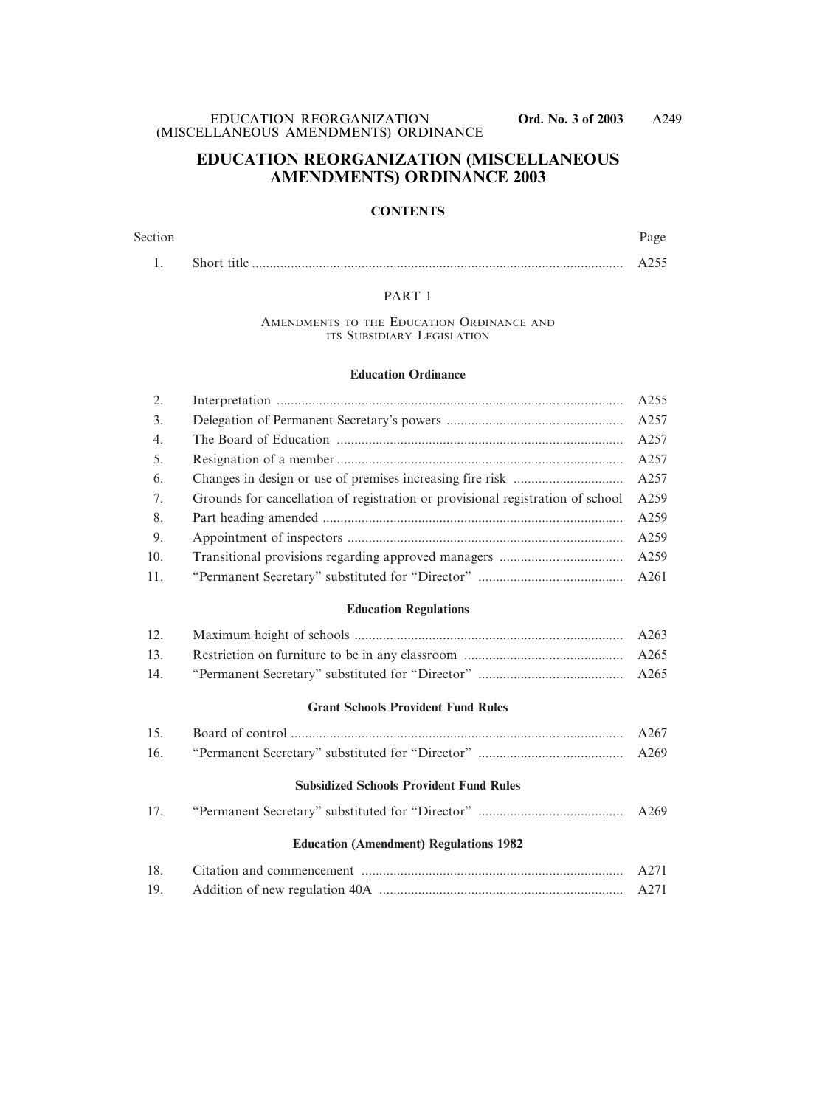### **EDUCATION REORGANIZATION (MISCELLANEOUS AMENDMENTS) ORDINANCE 2003**

#### **CONTENTS**

# Section Page 1. Short title ......................................................................................................... A255

#### PART 1

#### AMENDMENTS TO THE EDUCATION ORDINANCE AND ITS SUBSIDIARY LEGISLATION

#### **Education Ordinance**

| 2.  |                                                                                | A255 |
|-----|--------------------------------------------------------------------------------|------|
| 3.  |                                                                                | A257 |
| 4.  |                                                                                | A257 |
| 5.  |                                                                                | A257 |
| 6.  |                                                                                | A257 |
| 7.  | Grounds for cancellation of registration or provisional registration of school | A259 |
| 8.  |                                                                                | A259 |
| 9.  |                                                                                | A259 |
| 10. |                                                                                | A259 |
| 11. |                                                                                | A261 |
|     | <b>Education Regulations</b>                                                   |      |
| 12. |                                                                                | A263 |
| 13. |                                                                                | A265 |
| 14. |                                                                                | A265 |
|     | <b>Grant Schools Provident Fund Rules</b>                                      |      |
| 15. |                                                                                | A267 |
| 16. |                                                                                | A269 |
|     | <b>Subsidized Schools Provident Fund Rules</b>                                 |      |
| 17. |                                                                                | A269 |
|     | <b>Education (Amendment) Regulations 1982</b>                                  |      |
| 18. |                                                                                | A271 |
| 19. |                                                                                | A271 |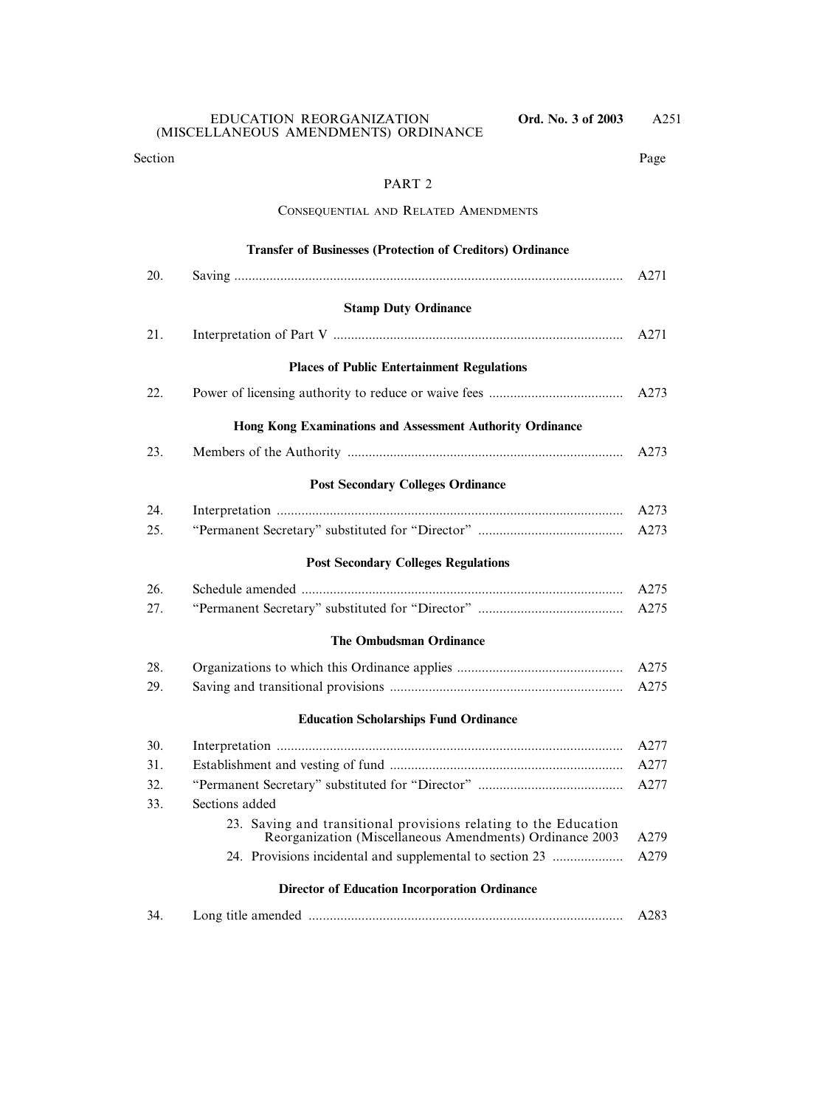#### Section Page

### PART 2

#### CONSEQUENTIAL AND RELATED AMENDMENTS

|     | <b>Transfer of Businesses (Protection of Creditors) Ordinance</b>                                                            |      |
|-----|------------------------------------------------------------------------------------------------------------------------------|------|
| 20. |                                                                                                                              | A271 |
|     | <b>Stamp Duty Ordinance</b>                                                                                                  |      |
| 21. |                                                                                                                              | A271 |
|     |                                                                                                                              |      |
|     | <b>Places of Public Entertainment Regulations</b>                                                                            |      |
| 22. |                                                                                                                              | A273 |
|     | Hong Kong Examinations and Assessment Authority Ordinance                                                                    |      |
| 23. |                                                                                                                              | A273 |
|     | <b>Post Secondary Colleges Ordinance</b>                                                                                     |      |
| 24. |                                                                                                                              | A273 |
| 25. |                                                                                                                              | A273 |
|     | <b>Post Secondary Colleges Regulations</b>                                                                                   |      |
| 26. |                                                                                                                              | A275 |
| 27. |                                                                                                                              | A275 |
|     | <b>The Ombudsman Ordinance</b>                                                                                               |      |
| 28. |                                                                                                                              | A275 |
| 29. |                                                                                                                              | A275 |
|     | <b>Education Scholarships Fund Ordinance</b>                                                                                 |      |
| 30. |                                                                                                                              | A277 |
| 31. |                                                                                                                              | A277 |
| 32. |                                                                                                                              | A277 |
| 33. | Sections added                                                                                                               |      |
|     | 23. Saving and transitional provisions relating to the Education<br>Reorganization (Miscellaneous Amendments) Ordinance 2003 | A279 |
|     | 24. Provisions incidental and supplemental to section 23                                                                     | A279 |
|     | <b>Director of Education Incorporation Ordinance</b>                                                                         |      |
| 34. |                                                                                                                              | A283 |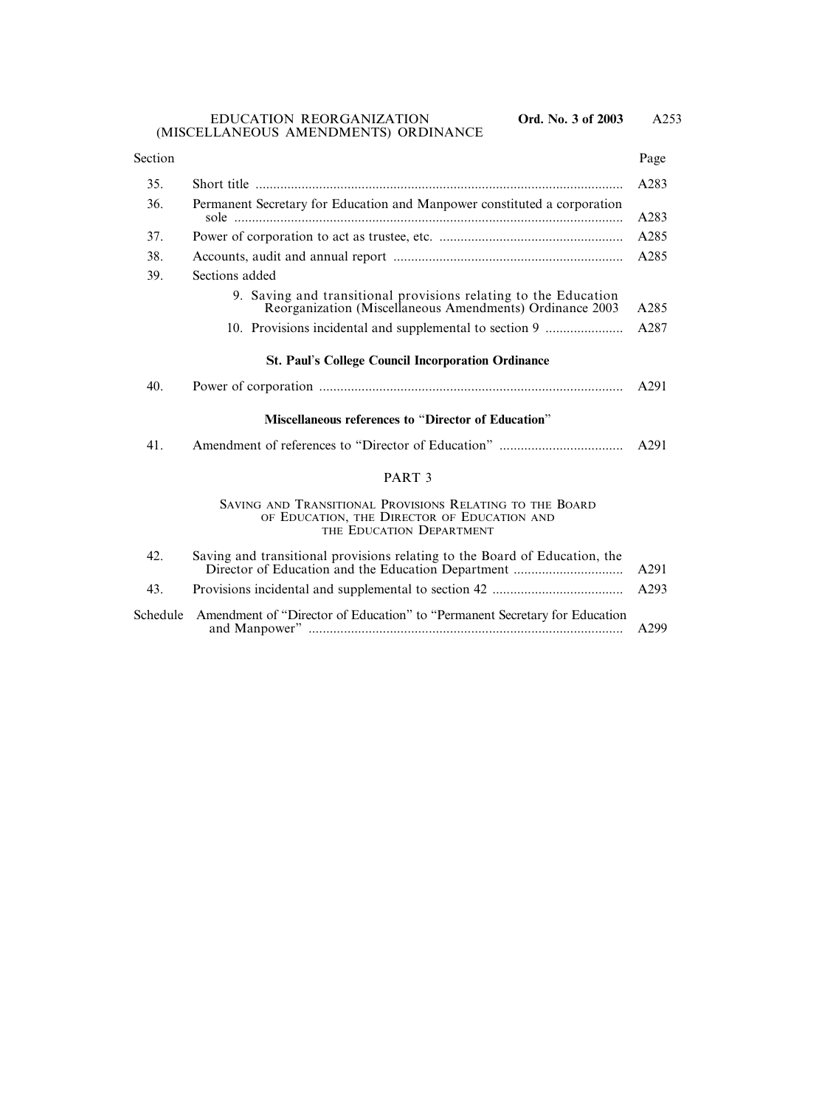EDUCATION REORGANIZATION **Ord. No. 3 of 2003** (MISCELLANEOUS AMENDMENTS) ORDINANCE

| Section |                                                                                                                                     | Page |  |
|---------|-------------------------------------------------------------------------------------------------------------------------------------|------|--|
| 35.     | Short title                                                                                                                         | A283 |  |
| 36.     | Permanent Secretary for Education and Manpower constituted a corporation                                                            | A283 |  |
| 37.     |                                                                                                                                     | A285 |  |
| 38.     | A285                                                                                                                                |      |  |
| 39.     | Sections added                                                                                                                      |      |  |
|         | 9. Saving and transitional provisions relating to the Education<br>Reorganization (Miscellaneous Amendments) Ordinance 2003         | A285 |  |
|         | 10. Provisions incidental and supplemental to section 9                                                                             | A287 |  |
|         | <b>St. Paul's College Council Incorporation Ordinance</b>                                                                           |      |  |
| 40.     |                                                                                                                                     | A291 |  |
|         | <b>Miscellaneous references to "Director of Education"</b>                                                                          |      |  |
| 41.     |                                                                                                                                     | A291 |  |
|         | PART <sub>3</sub>                                                                                                                   |      |  |
|         | SAVING AND TRANSITIONAL PROVISIONS RELATING TO THE BOARD<br>OF EDUCATION, THE DIRECTOR OF EDUCATION AND<br>THE EDUCATION DEPARTMENT |      |  |
| 42.     | Saving and transitional provisions relating to the Board of Education, the                                                          | A291 |  |
| 43.     |                                                                                                                                     | A293 |  |
|         |                                                                                                                                     |      |  |

Schedule Amendment of "Director of Education" to "Permanent Secretary for Education and Manpower" ......................................................................................... A299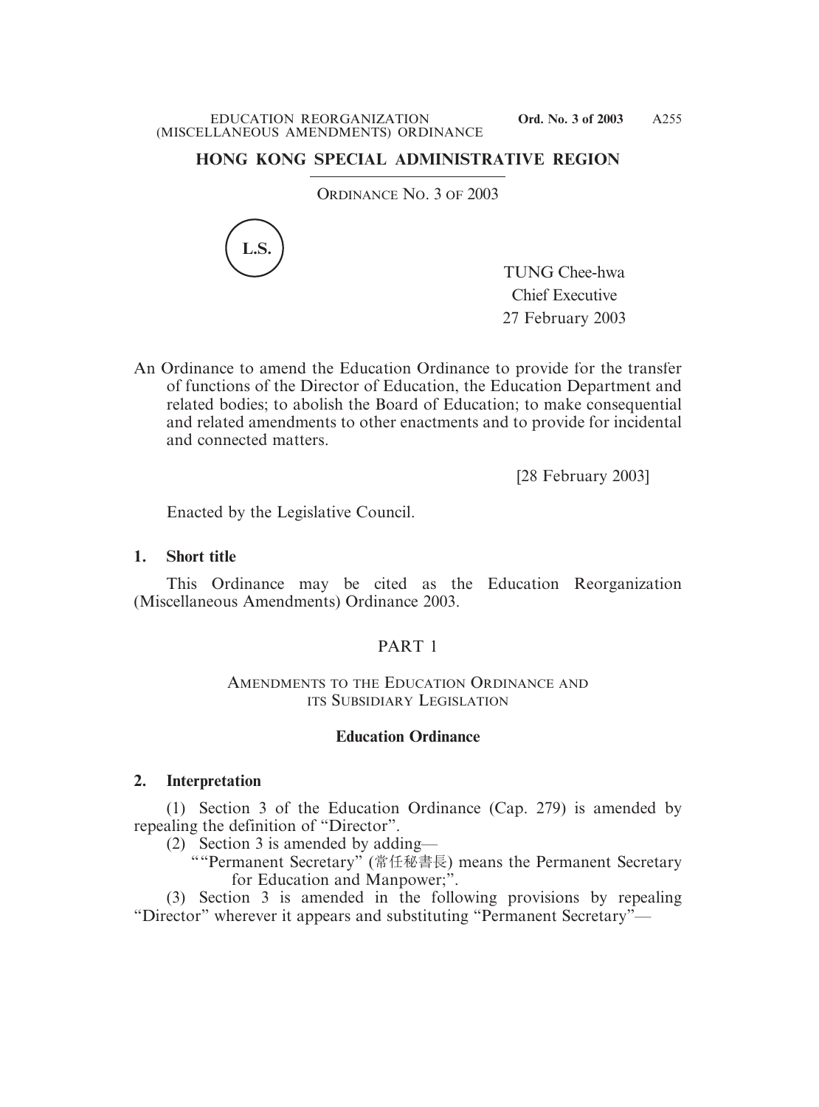## **HONG KONG SPECIAL ADMINISTRATIVE REGION**

ORDINANCE NO. 3 OF 2003



TUNG Chee-hwa Chief Executive 27 February 2003

An Ordinance to amend the Education Ordinance to provide for the transfer of functions of the Director of Education, the Education Department and related bodies; to abolish the Board of Education; to make consequential and related amendments to other enactments and to provide for incidental and connected matters.

[28 February 2003]

Enacted by the Legislative Council.

### **1. Short title**

This Ordinance may be cited as the Education Reorganization (Miscellaneous Amendments) Ordinance 2003.

# PART 1

### AMENDMENTS TO THE EDUCATION ORDINANCE AND ITS SUBSIDIARY LEGISLATION

### **Education Ordinance**

### **2. Interpretation**

(1) Section 3 of the Education Ordinance (Cap. 279) is amended by repealing the definition of "Director".

(2) Section 3 is amended by adding—

""Permanent Secretary" (常任秘書長) means the Permanent Secretary for Education and Manpower;".

(3) Section 3 is amended in the following provisions by repealing "Director" wherever it appears and substituting "Permanent Secretary"—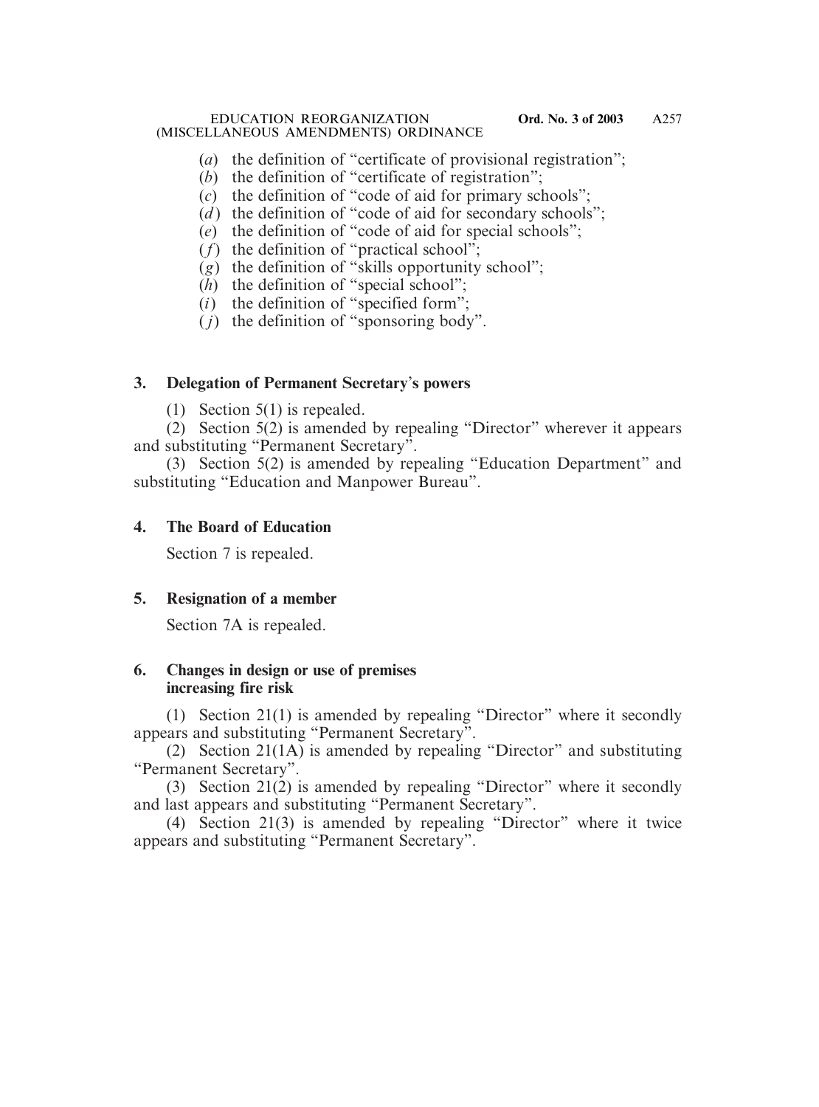- (*a*) the definition of "certificate of provisional registration";
- (*b*) the definition of "certificate of registration";
- (*c*) the definition of "code of aid for primary schools";
- $(d)$  the definition of "code of aid for secondary schools";
- (*e*) the definition of "code of aid for special schools";
- $(f)$  the definition of "practical school";
- (*g*) the definition of "skills opportunity school";
- (*h*) the definition of "special school";
- (*i*) the definition of "specified form";
- ( *j*) the definition of "sponsoring body".

## **3. Delegation of Permanent Secretary**'**s powers**

(1) Section 5(1) is repealed.

(2) Section 5(2) is amended by repealing "Director" wherever it appears and substituting "Permanent Secretary".

(3) Section 5(2) is amended by repealing "Education Department" and substituting "Education and Manpower Bureau".

# **4. The Board of Education**

Section 7 is repealed.

# **5. Resignation of a member**

Section 7A is repealed.

# **6. Changes in design or use of premises increasing fire risk**

(1) Section 21(1) is amended by repealing "Director" where it secondly appears and substituting "Permanent Secretary".

(2) Section 21(1A) is amended by repealing "Director" and substituting "Permanent Secretary".

(3) Section 21(2) is amended by repealing "Director" where it secondly and last appears and substituting "Permanent Secretary".

(4) Section 21(3) is amended by repealing "Director" where it twice appears and substituting "Permanent Secretary".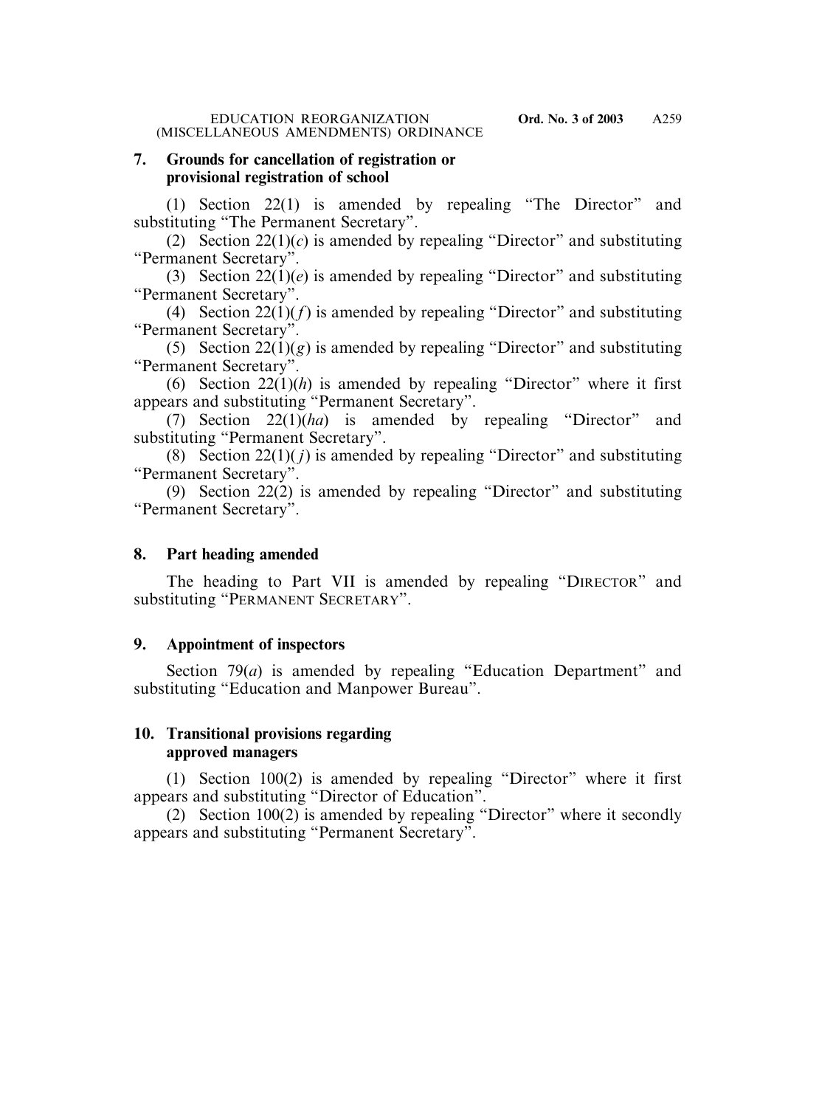### **7. Grounds for cancellation of registration or provisional registration of school**

(1) Section 22(1) is amended by repealing "The Director" and substituting "The Permanent Secretary".

(2) Section  $22(1)(c)$  is amended by repealing "Director" and substituting "Permanent Secretary".

(3) Section  $22(1)(e)$  is amended by repealing "Director" and substituting "Permanent Secretary".

(4) Section 22(1)(*f*) is amended by repealing "Director" and substituting "Permanent Secretary".

(5) Section  $22(1)(g)$  is amended by repealing "Director" and substituting "Permanent Secretary".

(6) Section  $22(1)(h)$  is amended by repealing "Director" where it first appears and substituting "Permanent Secretary".

(7) Section 22(1)(*ha*) is amended by repealing "Director" and substituting "Permanent Secretary".

(8) Section 22(1)( *j*) is amended by repealing "Director" and substituting "Permanent Secretary".

(9) Section 22(2) is amended by repealing "Director" and substituting "Permanent Secretary".

### **8. Part heading amended**

The heading to Part VII is amended by repealing "DIRECTOR" and substituting "PERMANENT SECRETARY".

# **9. Appointment of inspectors**

Section 79(*a*) is amended by repealing "Education Department" and substituting "Education and Manpower Bureau".

# **10. Transitional provisions regarding approved managers**

(1) Section 100(2) is amended by repealing "Director" where it first appears and substituting "Director of Education".

(2) Section  $100(2)$  is amended by repealing "Director" where it secondly appears and substituting "Permanent Secretary".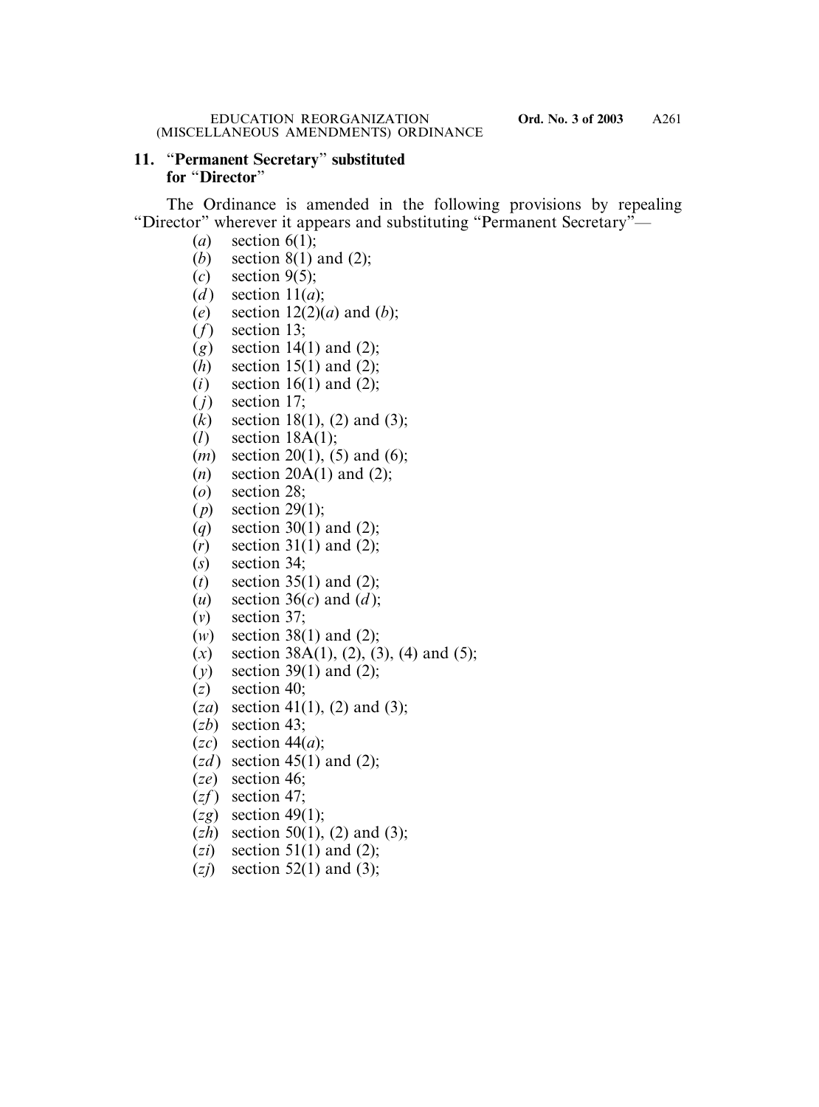# **11.** "**Permanent Secretary**" **substituted for** "**Director**"

The Ordinance is amended in the following provisions by repealing "Director" wherever it appears and substituting "Permanent Secretary"—

- (*a*) section 6(1);
- (*b*) section 8(1) and (2);
- (*c*) section 9(5);
- (*d*) section  $11(a)$ ;
- (*e*) section 12(2)(*a*) and (*b*);
- (*f*) section 13;
- (*g*) section 14(1) and (2);
- (*h*) section 15(1) and (2);
- (*i*) section 16(1) and (2);
- $(j)$  section 17;
- (*k*) section 18(1), (2) and (3);
- (*l*) section 18A(1);
- (*m*) section 20(1), (5) and (6);
- (*n*) section 20A(1) and (2);
- (*o*) section 28;
- ( *p*) section 29(1);
- (*q*) section 30(1) and (2);
- (*r*) section 31(1) and (2);
- (*s*) section 34;
- (*t*) section 35(1) and (2);
- (*u*) section 36(*c*) and (*d* );
- (*v*) section 37;
- (*w*) section 38(1) and (2);
- $(x)$  section 38A(1), (2), (3), (4) and (5);
- (*y*) section 39(1) and (2);
- (*z*) section 40;
- (*za*) section 41(1), (2) and (3);
- (*zb*) section 43;
- (*zc*) section 44(*a*);
- $(zd)$  section 45(1) and (2);
- (*ze*) section 46;
- $(zf)$  section 47;
- (*zg*) section 49(1);
- (*zh*) section 50(1), (2) and (3);
- $(zi)$  section 51(1) and (2);
- (*zj*) section 52(1) and (3);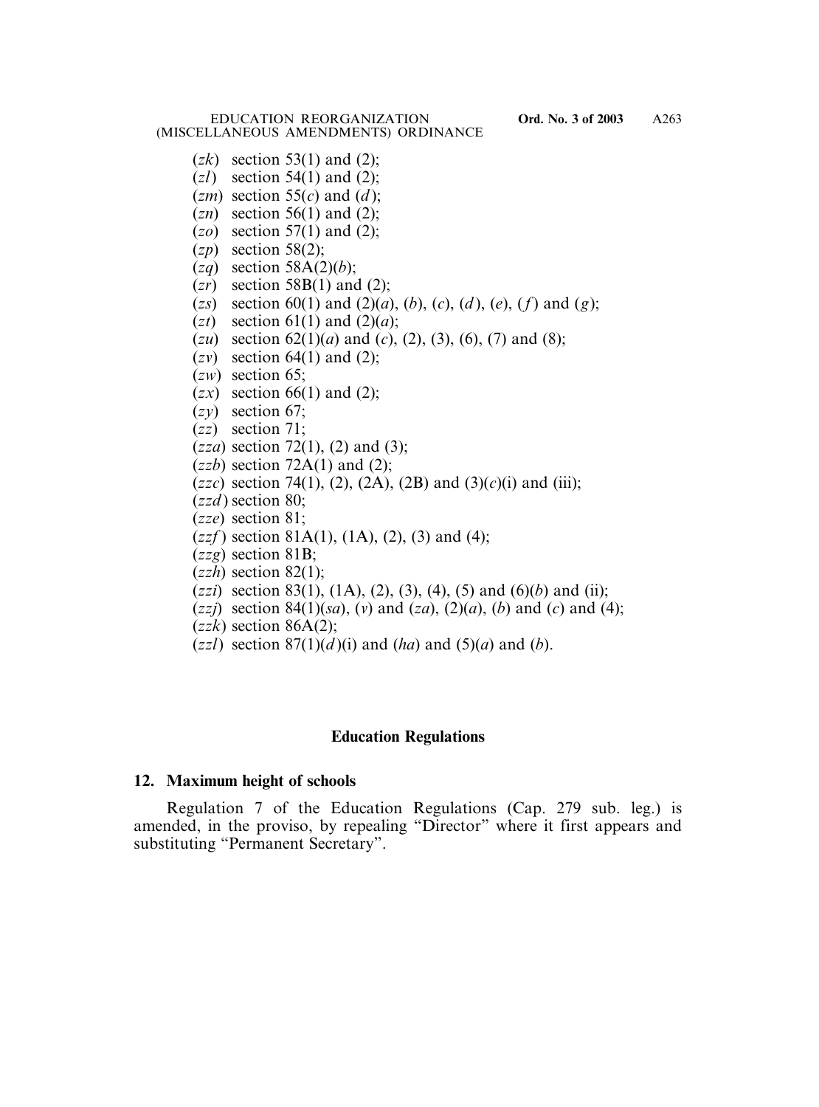EDUCATION REORGANIZATION **Ord. No. 3 of 2003** (MISCELLANEOUS AMENDMENTS) ORDINANCE

- $(zk)$  section 53(1) and (2);
- (*zl*) section 54(1) and (2);
- $(zm)$  section 55 $(c)$  and  $(d)$ ;
- (*zn*) section 56(1) and (2);
- (*zo*) section 57(1) and (2);
- (*zp*) section 58(2);
- (*zq*) section 58A(2)(*b*);
- (*zr*) section 58B(1) and (2);
- (*zs*) section 60(1) and (2)(*a*), (*b*), (*c*), (*d* ), (*e*), (*f*) and (*g*);
- $(zt)$  section 61(1) and (2)(*a*);
- (*zu*) section 62(1)(*a*) and (*c*), (2), (3), (6), (7) and (8);
- (*zv*) section 64(1) and (2);
- (*zw*) section 65;
- $(zx)$  section 66(1) and (2);
- (*zy*) section 67;
- (*zz*) section 71;
- (*zza*) section 72(1), (2) and (3);
- $(zzb)$  section 72A(1) and (2);
- (*zzc*) section 74(1), (2), (2A), (2B) and (3)(*c*)(i) and (iii);
- (*zzd* ) section 80;
- (*zze*) section 81;
- $(zzf)$  section 81A(1), (1A), (2), (3) and (4);
- (*zzg*) section 81B;
- (*zzh*) section 82(1);
- (*zzi*) section 83(1), (1A), (2), (3), (4), (5) and (6)(*b*) and (ii);
- (*zzj*) section 84(1)(*sa*), (*v*) and (*za*), (2)(*a*), (*b*) and (*c*) and (4);
- $(zzk)$  section 86A(2);
- $(zz)$  section  $87(1)(d)(i)$  and  $(ha)$  and  $(5)(a)$  and  $(b)$ .

#### **Education Regulations**

#### **12. Maximum height of schools**

Regulation 7 of the Education Regulations (Cap. 279 sub. leg.) is amended, in the proviso, by repealing "Director" where it first appears and substituting "Permanent Secretary".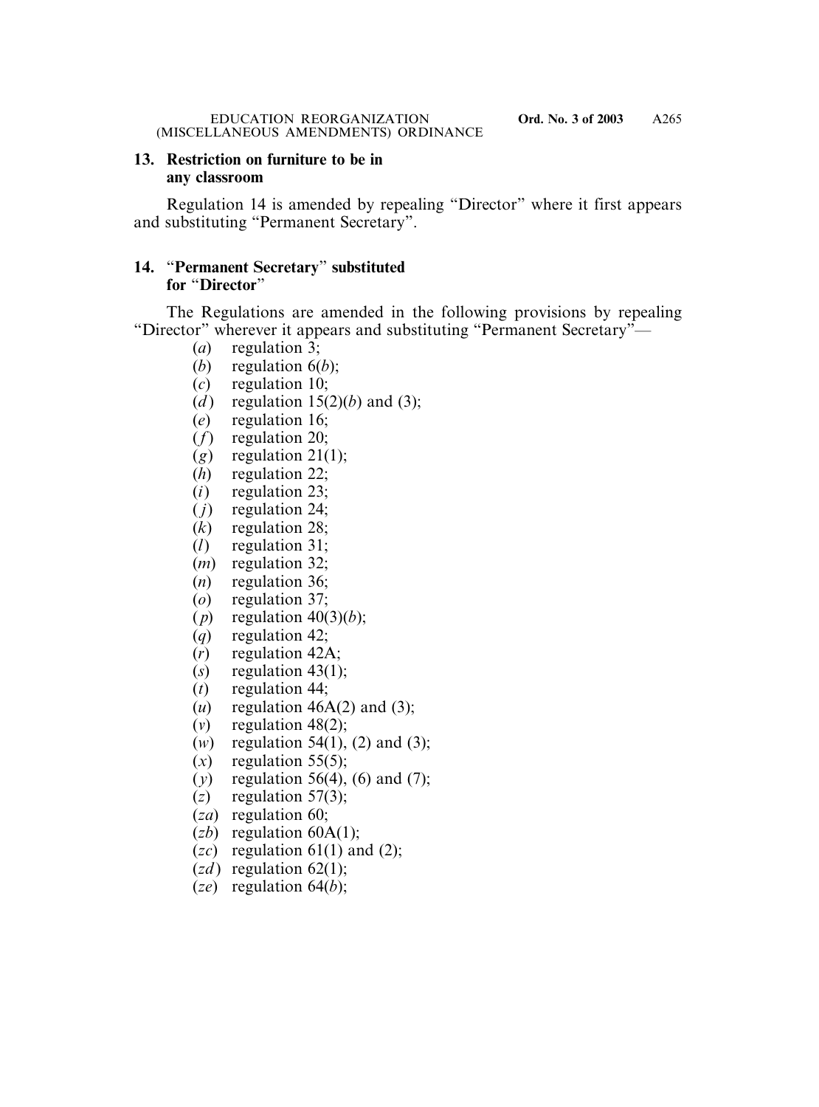### **13. Restriction on furniture to be in any classroom**

Regulation 14 is amended by repealing "Director" where it first appears and substituting "Permanent Secretary".

## **14.** "**Permanent Secretary**" **substituted for** "**Director**"

The Regulations are amended in the following provisions by repealing "Director" wherever it appears and substituting "Permanent Secretary"—

- (*a*) regulation 3;
- (*b*) regulation 6(*b*);
- (*c*) regulation 10;
- (*d*) regulation  $15(2)(b)$  and (3);
- (*e*) regulation 16;
- (*f*) regulation 20;
- $(g)$  regulation 21(1);
- (*h*) regulation 22;
- (*i*) regulation 23;
- ( *j*) regulation 24;
- (*k*) regulation 28;
- (*l*) regulation 31;
- (*m*) regulation 32;
- (*n*) regulation 36;
- (*o*) regulation 37;
- (*p*) regulation  $40(3)(b)$ ;
- (*q*) regulation 42;
- (*r*) regulation 42A;
- $(s)$  regulation 43(1);
- (*t*) regulation 44;
- $(u)$  regulation 46A(2) and (3);
- $(v)$  regulation 48(2);
- (*w*) regulation 54(1), (2) and (3);
- $(x)$  regulation 55(5);
- (*y*) regulation 56(4), (6) and (7);
- $(z)$  regulation 57(3);
- (*za*) regulation 60;
- (*zb*) regulation 60A(1);
- $(zc)$  regulation 61(1) and (2);
- $(zd)$  regulation 62(1);
- (*ze*) regulation 64(*b*);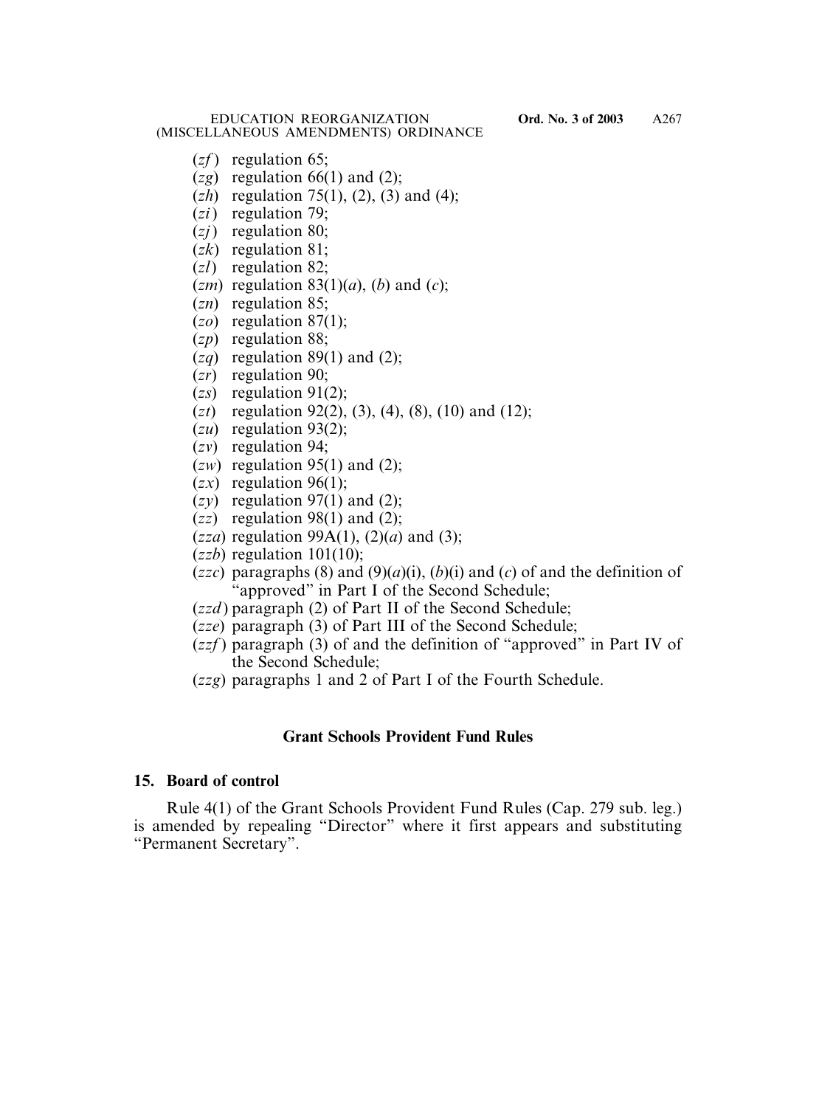- (*zf* ) regulation 65;
- $(2g)$  regulation 66(1) and (2);
- (*zh*) regulation 75(1), (2), (3) and (4);
- (*zi*) regulation 79;
- (*zj*) regulation 80;
- (*zk*) regulation 81;
- (*zl*) regulation 82;
- $(zm)$  regulation 83(1)(*a*), (*b*) and (*c*);
- (*zn*) regulation 85;
- (*zo*) regulation 87(1);
- (*zp*) regulation 88;
- $(2q)$  regulation 89(1) and (2);
- (*zr*) regulation 90;
- (*zs*) regulation 91(2);
- (*zt*) regulation 92(2), (3), (4), (8), (10) and (12);
- (*zu*) regulation 93(2);
- (*zv*) regulation 94;
- $(zw)$  regulation 95(1) and (2);
- $(zx)$  regulation 96(1);
- $(zy)$  regulation 97(1) and (2);
- $(zz)$  regulation 98(1) and (2);
- (*zza*) regulation 99A(1), (2)(*a*) and (3);
- (*zzb*) regulation 101(10);
- (*zzc*) paragraphs (8) and (9)(*a*)(i), (*b*)(i) and (*c*) of and the definition of "approved" in Part I of the Second Schedule;
- (*zzd* ) paragraph (2) of Part II of the Second Schedule;
- (*zze*) paragraph (3) of Part III of the Second Schedule;
- (*zzf* ) paragraph (3) of and the definition of "approved" in Part IV of the Second Schedule;
- (*zzg*) paragraphs 1 and 2 of Part I of the Fourth Schedule.

### **Grant Schools Provident Fund Rules**

### **15. Board of control**

Rule 4(1) of the Grant Schools Provident Fund Rules (Cap. 279 sub. leg.) is amended by repealing "Director" where it first appears and substituting "Permanent Secretary".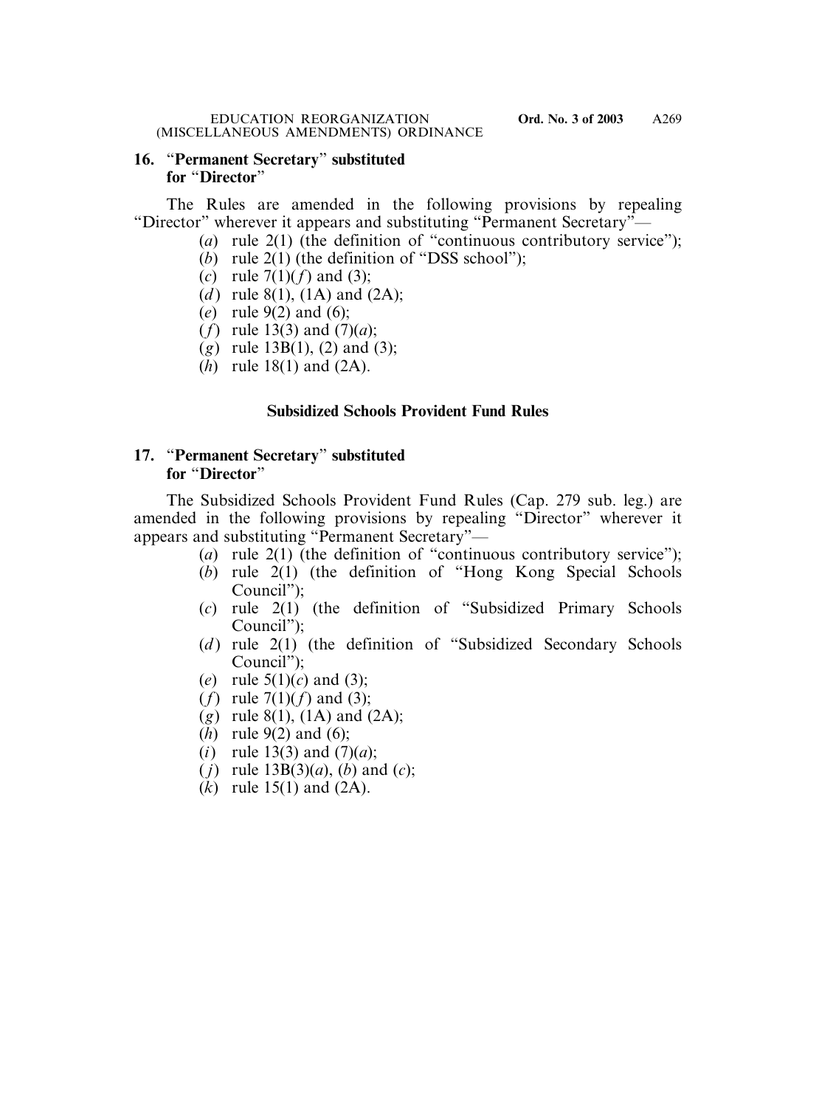### **16.** "**Permanent Secretary**" **substituted for** "**Director**"

The Rules are amended in the following provisions by repealing "Director" wherever it appears and substituting "Permanent Secretary"—

- (*a*) rule 2(1) (the definition of "continuous contributory service");
- (*b*) rule 2(1) (the definition of "DSS school");
- (*c*) rule 7(1)(*f*) and (3);
- (*d*) rule 8(1), (1A) and (2A);
- (*e*) rule 9(2) and (6);
- (*f*) rule 13(3) and (7)(*a*);
- (*g*) rule 13B(1), (2) and (3);
- (*h*) rule 18(1) and (2A).

## **Subsidized Schools Provident Fund Rules**

# **17.** "**Permanent Secretary**" **substituted for** "**Director**"

The Subsidized Schools Provident Fund Rules (Cap. 279 sub. leg.) are amended in the following provisions by repealing "Director" wherever it appears and substituting "Permanent Secretary"—

- (*a*) rule 2(1) (the definition of "continuous contributory service");
- (*b*) rule 2(1) (the definition of "Hong Kong Special Schools Council");
- (*c*) rule 2(1) (the definition of "Subsidized Primary Schools Council");
- (*d*) rule 2(1) (the definition of "Subsidized Secondary Schools Council");
- (*e*) rule 5(1)(*c*) and (3);
- (*f*) rule 7(1)(*f*) and (3);
- (*g*) rule 8(1), (1A) and (2A);
- (*h*) rule 9(2) and (6);
- (*i*) rule 13(3) and  $(7)(a)$ ;
- ( *j*) rule 13B(3)(*a*), (*b*) and (*c*);
- (*k*) rule 15(1) and (2A).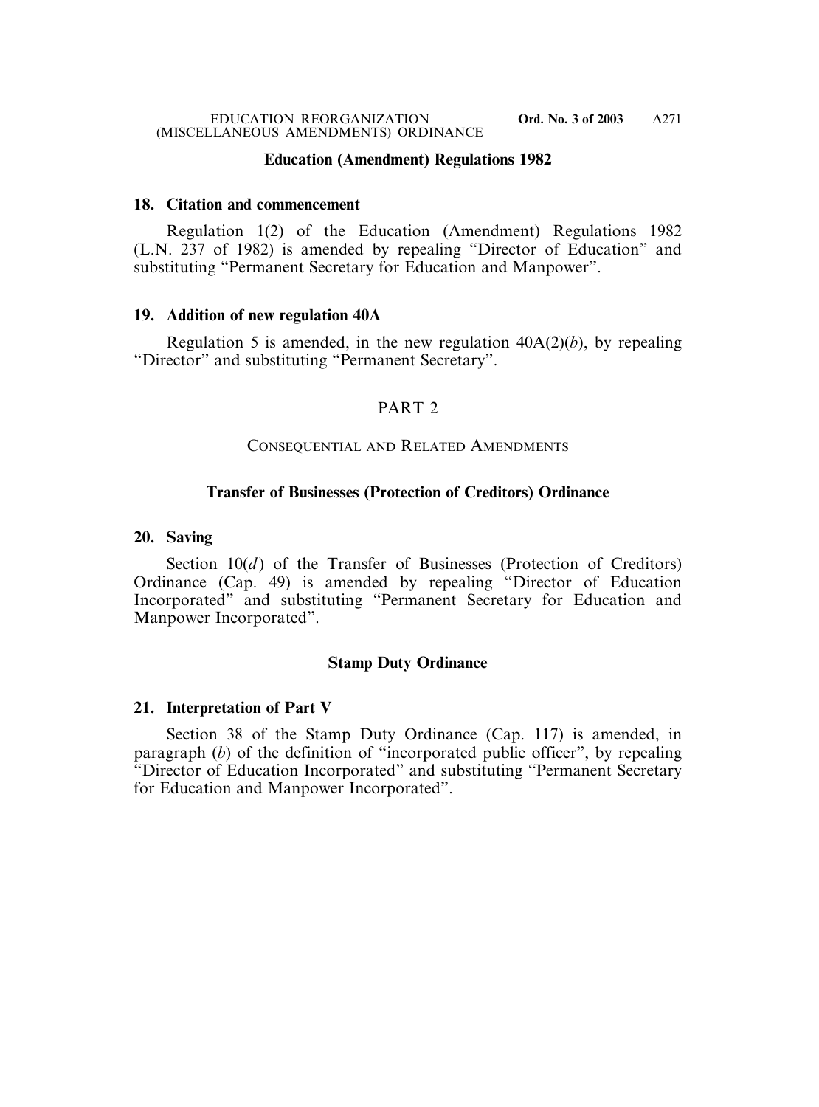### **Education (Amendment) Regulations 1982**

#### **18. Citation and commencement**

Regulation 1(2) of the Education (Amendment) Regulations 1982 (L.N. 237 of 1982) is amended by repealing "Director of Education" and substituting "Permanent Secretary for Education and Manpower".

### **19. Addition of new regulation 40A**

Regulation 5 is amended, in the new regulation  $40A(2)(b)$ , by repealing "Director" and substituting "Permanent Secretary".

## PART 2

### CONSEQUENTIAL AND RELATED AMENDMENTS

### **Transfer of Businesses (Protection of Creditors) Ordinance**

#### **20. Saving**

Section  $10(d)$  of the Transfer of Businesses (Protection of Creditors) Ordinance (Cap. 49) is amended by repealing "Director of Education Incorporated" and substituting "Permanent Secretary for Education and Manpower Incorporated".

### **Stamp Duty Ordinance**

### **21. Interpretation of Part V**

Section 38 of the Stamp Duty Ordinance (Cap. 117) is amended, in paragraph (*b*) of the definition of "incorporated public officer", by repealing "Director of Education Incorporated" and substituting "Permanent Secretary for Education and Manpower Incorporated".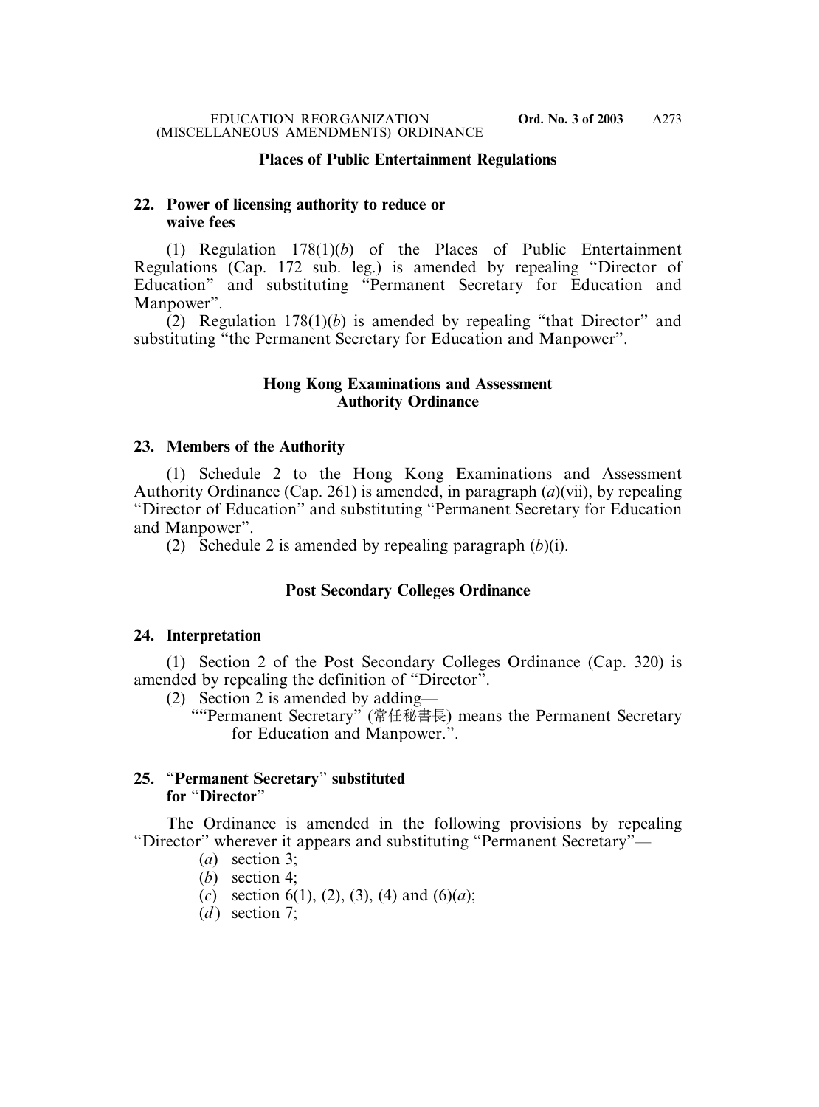### **Places of Public Entertainment Regulations**

### **22. Power of licensing authority to reduce or waive fees**

(1) Regulation 178(1)(*b*) of the Places of Public Entertainment Regulations (Cap. 172 sub. leg.) is amended by repealing "Director of Education" and substituting "Permanent Secretary for Education and Manpower".

(2) Regulation 178(1)(*b*) is amended by repealing "that Director" and substituting "the Permanent Secretary for Education and Manpower".

### **Hong Kong Examinations and Assessment Authority Ordinance**

#### **23. Members of the Authority**

(1) Schedule 2 to the Hong Kong Examinations and Assessment Authority Ordinance (Cap. 261) is amended, in paragraph (*a*)(vii), by repealing "Director of Education" and substituting "Permanent Secretary for Education and Manpower".

(2) Schedule 2 is amended by repealing paragraph (*b*)(i).

### **Post Secondary Colleges Ordinance**

#### **24. Interpretation**

(1) Section 2 of the Post Secondary Colleges Ordinance (Cap. 320) is amended by repealing the definition of "Director".

(2) Section 2 is amended by adding—

""Permanent Secretary" (常任秘書長) means the Permanent Secretary for Education and Manpower.".

### **25.** "**Permanent Secretary**" **substituted for** "**Director**"

The Ordinance is amended in the following provisions by repealing "Director" wherever it appears and substituting "Permanent Secretary"—

- (*a*) section 3;
- (*b*) section 4;
- (*c*) section 6(1), (2), (3), (4) and (6)(*a*);
- $(d)$  section 7;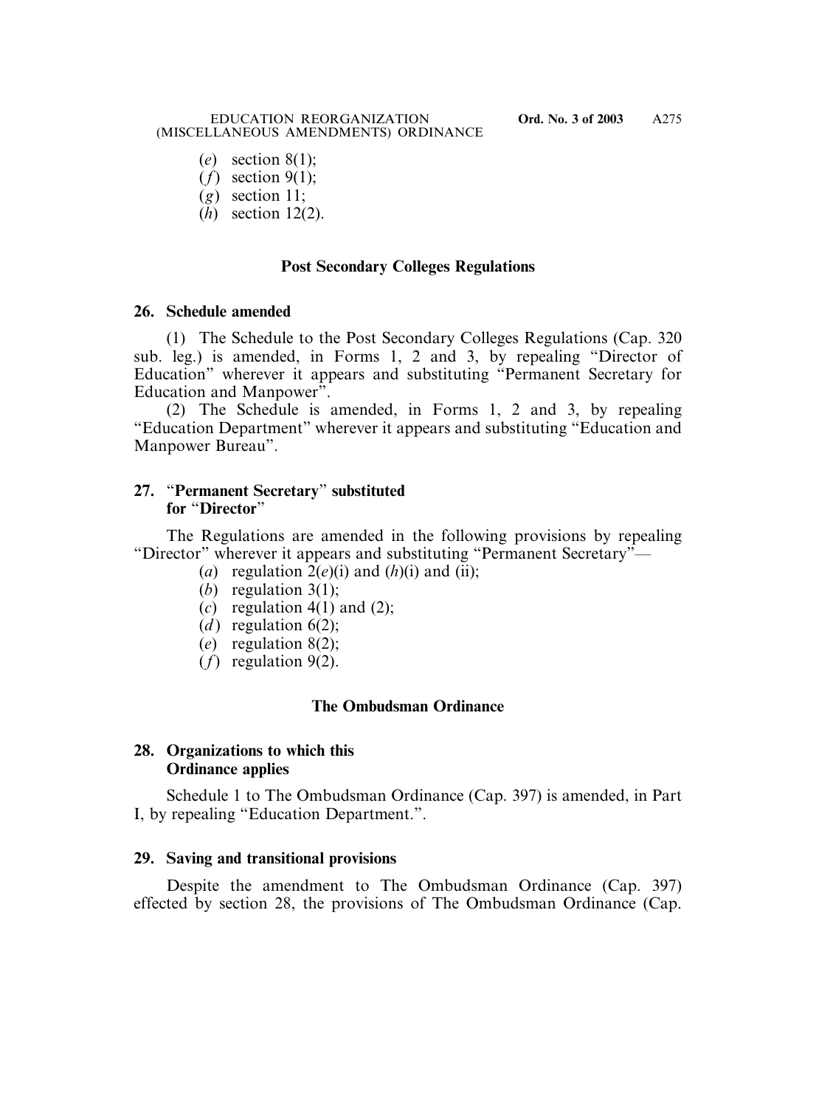- (*e*) section 8(1);
- (*f*) section 9(1);
- (*g*) section 11;
- (*h*) section 12(2).

## **Post Secondary Colleges Regulations**

### **26. Schedule amended**

(1) The Schedule to the Post Secondary Colleges Regulations (Cap. 320 sub. leg.) is amended, in Forms 1, 2 and 3, by repealing "Director of Education" wherever it appears and substituting "Permanent Secretary for Education and Manpower".

(2) The Schedule is amended, in Forms 1, 2 and 3, by repealing "Education Department" wherever it appears and substituting "Education and Manpower Bureau".

### **27.** "**Permanent Secretary**" **substituted for** "**Director**"

The Regulations are amended in the following provisions by repealing "Director" wherever it appears and substituting "Permanent Secretary"—

- (*a*) regulation  $2(e)(i)$  and  $(h)(i)$  and  $(ii)$ ;
- (*b*) regulation 3(1);
- $(c)$  regulation 4(1) and (2);
- (*d*) regulation  $6(2)$ ;
- (*e*) regulation 8(2);
- (*f*) regulation 9(2).

# **The Ombudsman Ordinance**

# **28. Organizations to which this Ordinance applies**

Schedule 1 to The Ombudsman Ordinance (Cap. 397) is amended, in Part I, by repealing "Education Department.".

### **29. Saving and transitional provisions**

Despite the amendment to The Ombudsman Ordinance (Cap. 397) effected by section 28, the provisions of The Ombudsman Ordinance (Cap.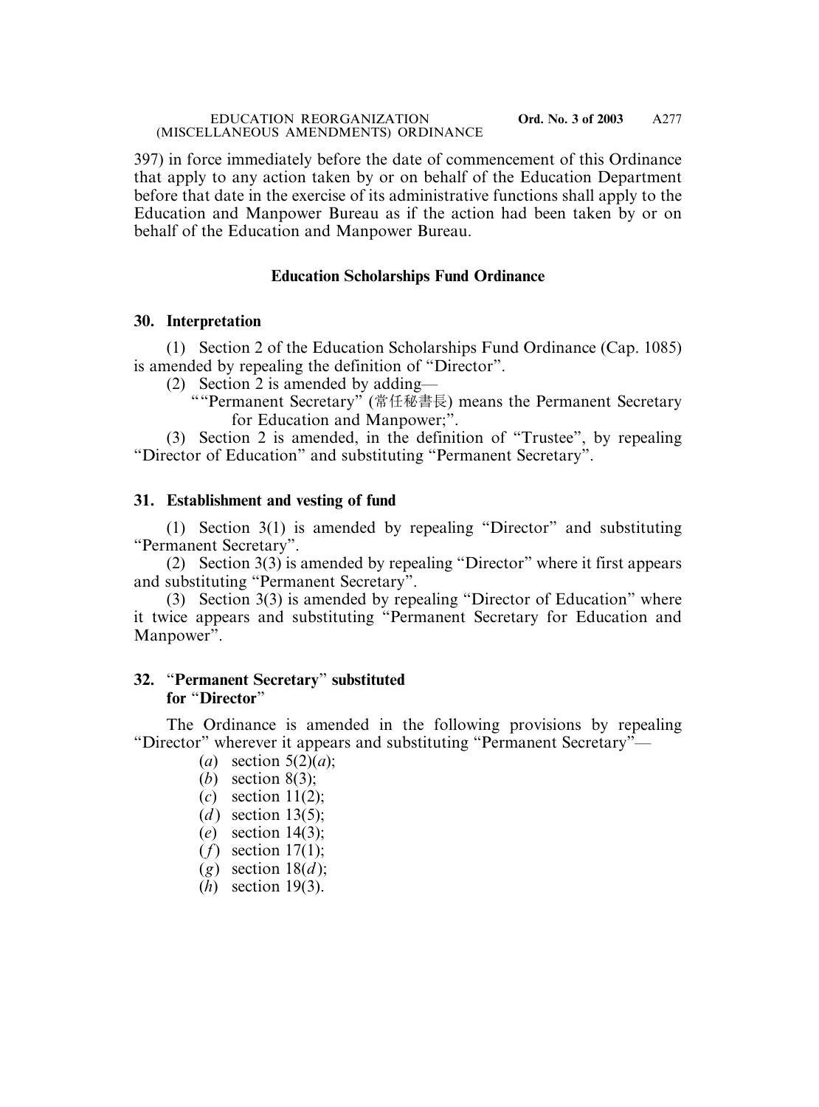397) in force immediately before the date of commencement of this Ordinance that apply to any action taken by or on behalf of the Education Department before that date in the exercise of its administrative functions shall apply to the Education and Manpower Bureau as if the action had been taken by or on behalf of the Education and Manpower Bureau.

### **Education Scholarships Fund Ordinance**

### **30. Interpretation**

(1) Section 2 of the Education Scholarships Fund Ordinance (Cap. 1085) is amended by repealing the definition of "Director".

(2) Section 2 is amended by adding—

""Permanent Secretary" (常任秘書長) means the Permanent Secretary for Education and Manpower;".

(3) Section 2 is amended, in the definition of "Trustee", by repealing "Director of Education" and substituting "Permanent Secretary".

## **31. Establishment and vesting of fund**

(1) Section 3(1) is amended by repealing "Director" and substituting "Permanent Secretary".

(2) Section 3(3) is amended by repealing "Director" where it first appears and substituting "Permanent Secretary".

(3) Section 3(3) is amended by repealing "Director of Education" where it twice appears and substituting "Permanent Secretary for Education and Manpower".

### **32.** "**Permanent Secretary**" **substituted for** "**Director**"

The Ordinance is amended in the following provisions by repealing "Director" wherever it appears and substituting "Permanent Secretary"—

- (*a*) section 5(2)(*a*);
- (*b*) section 8(3);
- (*c*) section 11(2);
- $(d)$  section 13(5);
- (*e*) section 14(3);
- (*f*) section 17(1);
- $(g)$  section 18 $(d)$ ;
- (*h*) section 19(3).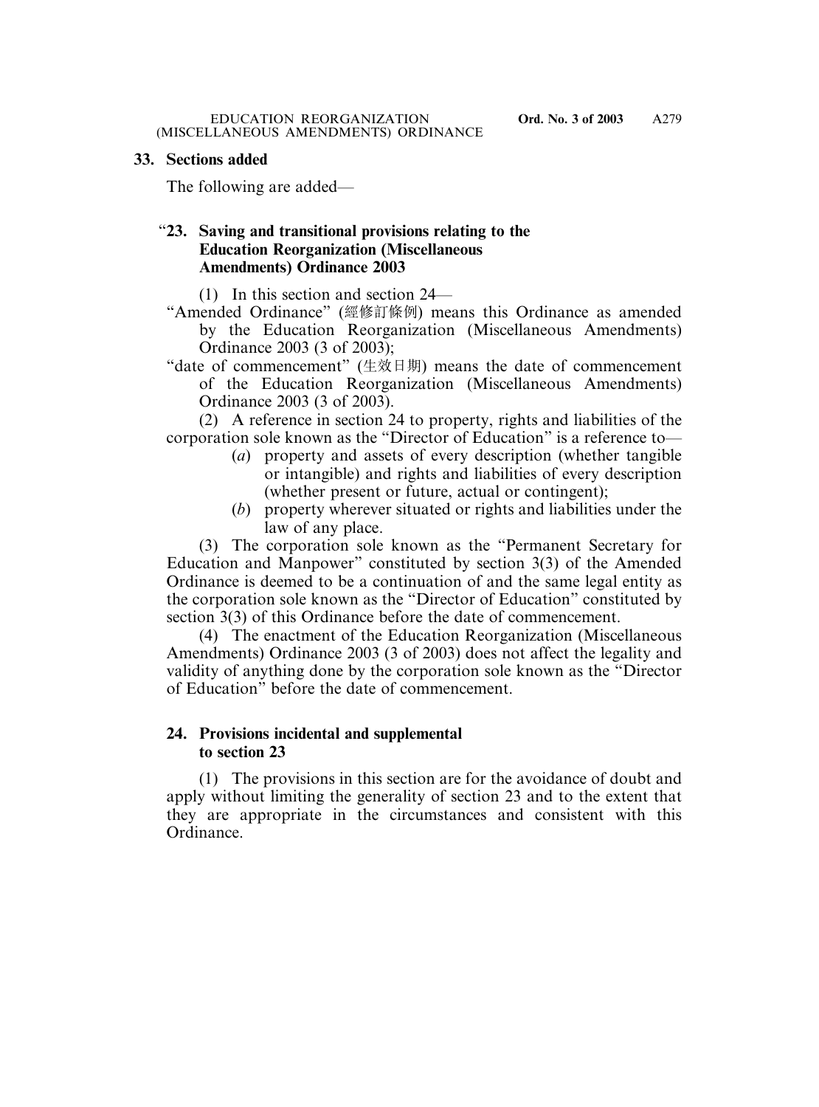### **33. Sections added**

The following are added—

## "**23. Saving and transitional provisions relating to the Education Reorganization (Miscellaneous Amendments) Ordinance 2003**

(1) In this section and section 24—

"Amended Ordinance" (經修訂條例) means this Ordinance as amended by the Education Reorganization (Miscellaneous Amendments) Ordinance 2003 (3 of 2003);

"date of commencement" (生效日期) means the date of commencement of the Education Reorganization (Miscellaneous Amendments) Ordinance 2003 (3 of 2003).

(2) A reference in section 24 to property, rights and liabilities of the corporation sole known as the "Director of Education" is a reference to—

- (*a*) property and assets of every description (whether tangible or intangible) and rights and liabilities of every description (whether present or future, actual or contingent);
- (*b*) property wherever situated or rights and liabilities under the law of any place.

(3) The corporation sole known as the "Permanent Secretary for Education and Manpower" constituted by section 3(3) of the Amended Ordinance is deemed to be a continuation of and the same legal entity as the corporation sole known as the "Director of Education" constituted by section 3(3) of this Ordinance before the date of commencement.

(4) The enactment of the Education Reorganization (Miscellaneous Amendments) Ordinance 2003 (3 of 2003) does not affect the legality and validity of anything done by the corporation sole known as the "Director of Education" before the date of commencement.

### **24. Provisions incidental and supplemental to section 23**

(1) The provisions in this section are for the avoidance of doubt and apply without limiting the generality of section 23 and to the extent that they are appropriate in the circumstances and consistent with this Ordinance.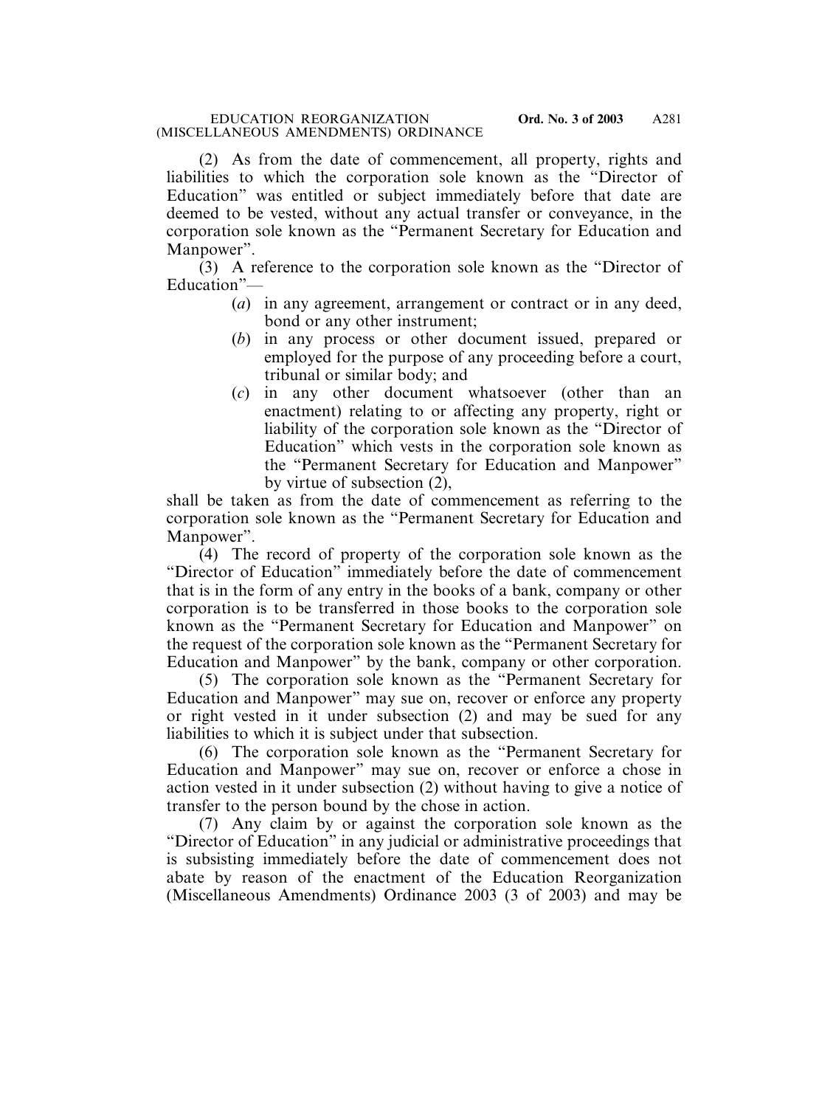(2) As from the date of commencement, all property, rights and liabilities to which the corporation sole known as the "Director of Education" was entitled or subject immediately before that date are deemed to be vested, without any actual transfer or conveyance, in the corporation sole known as the "Permanent Secretary for Education and Manpower".

(3) A reference to the corporation sole known as the "Director of Education"—

- (*a*) in any agreement, arrangement or contract or in any deed, bond or any other instrument;
- (*b*) in any process or other document issued, prepared or employed for the purpose of any proceeding before a court, tribunal or similar body; and
- (*c*) in any other document whatsoever (other than an enactment) relating to or affecting any property, right or liability of the corporation sole known as the "Director of Education" which vests in the corporation sole known as the "Permanent Secretary for Education and Manpower" by virtue of subsection (2),

shall be taken as from the date of commencement as referring to the corporation sole known as the "Permanent Secretary for Education and Manpower".

(4) The record of property of the corporation sole known as the "Director of Education" immediately before the date of commencement that is in the form of any entry in the books of a bank, company or other corporation is to be transferred in those books to the corporation sole known as the "Permanent Secretary for Education and Manpower" on the request of the corporation sole known as the "Permanent Secretary for Education and Manpower" by the bank, company or other corporation.

(5) The corporation sole known as the "Permanent Secretary for Education and Manpower" may sue on, recover or enforce any property or right vested in it under subsection (2) and may be sued for any liabilities to which it is subject under that subsection.

(6) The corporation sole known as the "Permanent Secretary for Education and Manpower" may sue on, recover or enforce a chose in action vested in it under subsection (2) without having to give a notice of transfer to the person bound by the chose in action.

(7) Any claim by or against the corporation sole known as the "Director of Education" in any judicial or administrative proceedings that is subsisting immediately before the date of commencement does not abate by reason of the enactment of the Education Reorganization (Miscellaneous Amendments) Ordinance 2003 (3 of 2003) and may be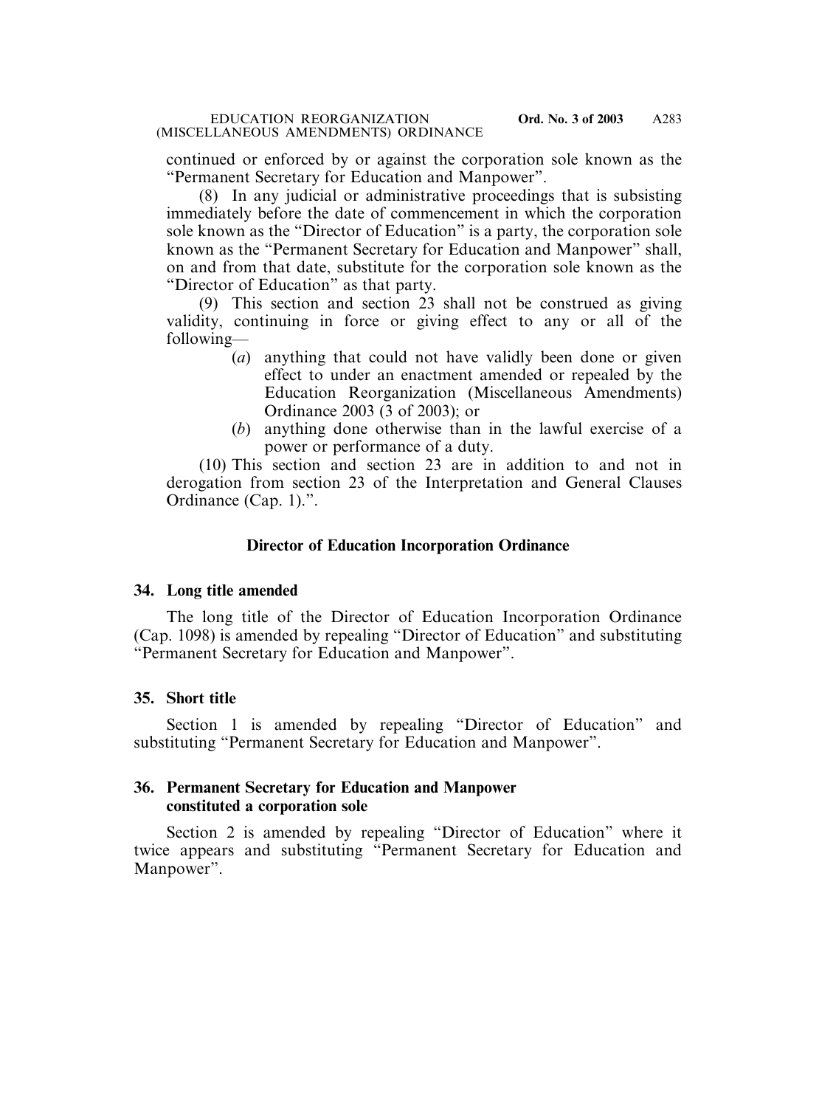continued or enforced by or against the corporation sole known as the "Permanent Secretary for Education and Manpower".

(8) In any judicial or administrative proceedings that is subsisting immediately before the date of commencement in which the corporation sole known as the "Director of Education" is a party, the corporation sole known as the "Permanent Secretary for Education and Manpower" shall, on and from that date, substitute for the corporation sole known as the "Director of Education" as that party.

(9) This section and section 23 shall not be construed as giving validity, continuing in force or giving effect to any or all of the following—

- (*a*) anything that could not have validly been done or given effect to under an enactment amended or repealed by the Education Reorganization (Miscellaneous Amendments) Ordinance 2003 (3 of 2003); or
- (*b*) anything done otherwise than in the lawful exercise of a power or performance of a duty.

(10) This section and section 23 are in addition to and not in derogation from section 23 of the Interpretation and General Clauses Ordinance (Cap. 1).".

# **Director of Education Incorporation Ordinance**

### **34. Long title amended**

The long title of the Director of Education Incorporation Ordinance (Cap. 1098) is amended by repealing "Director of Education" and substituting "Permanent Secretary for Education and Manpower".

# **35. Short title**

Section 1 is amended by repealing "Director of Education" and substituting "Permanent Secretary for Education and Manpower".

## **36. Permanent Secretary for Education and Manpower constituted a corporation sole**

Section 2 is amended by repealing "Director of Education" where it twice appears and substituting "Permanent Secretary for Education and Manpower".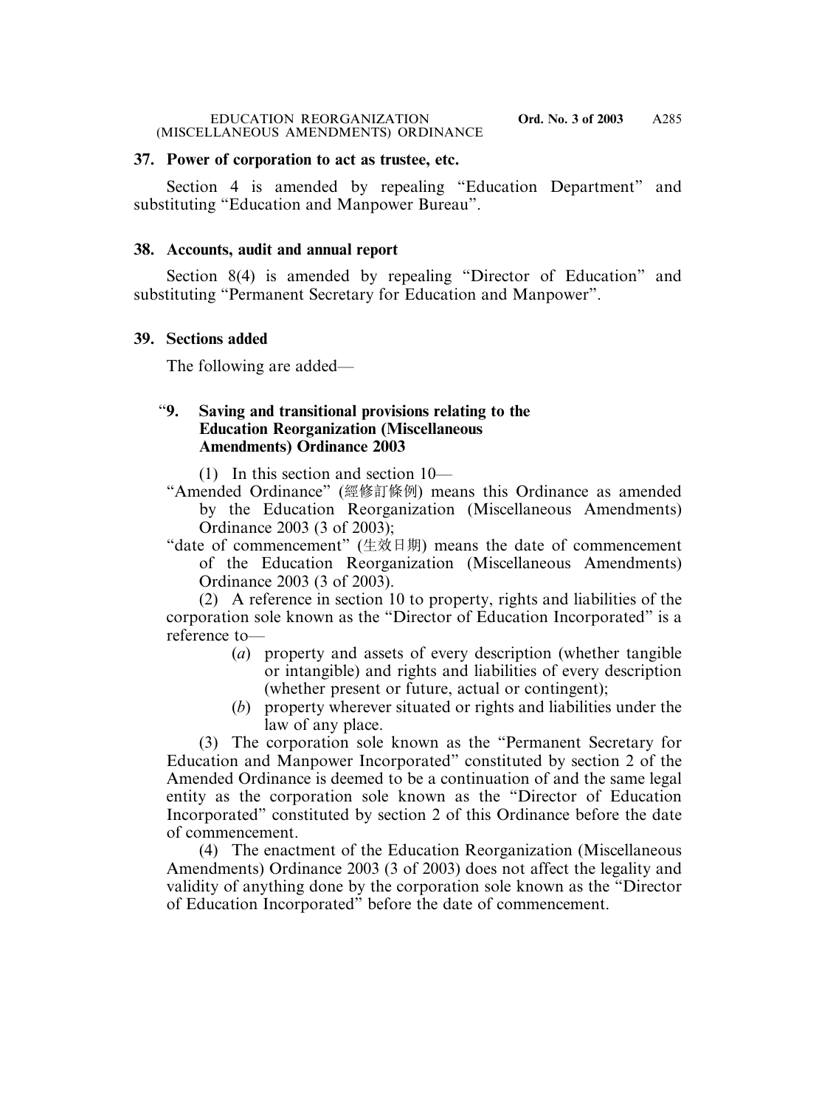#### EDUCATION REORGANIZATION **Ord. No. 3 of 2003** (MISCELLANEOUS AMENDMENTS) ORDINANCE

## **37. Power of corporation to act as trustee, etc.**

Section 4 is amended by repealing "Education Department" and substituting "Education and Manpower Bureau".

# **38. Accounts, audit and annual report**

Section 8(4) is amended by repealing "Director of Education" and substituting "Permanent Secretary for Education and Manpower".

# **39. Sections added**

The following are added—

# "**9. Saving and transitional provisions relating to the Education Reorganization (Miscellaneous Amendments) Ordinance 2003**

(1) In this section and section 10—

- "Amended Ordinance" (經修訂條例) means this Ordinance as amended by the Education Reorganization (Miscellaneous Amendments) Ordinance 2003 (3 of 2003);
- "date of commencement" (生效日期) means the date of commencement of the Education Reorganization (Miscellaneous Amendments) Ordinance 2003 (3 of 2003).

(2) A reference in section 10 to property, rights and liabilities of the corporation sole known as the "Director of Education Incorporated" is a reference to—

- (*a*) property and assets of every description (whether tangible or intangible) and rights and liabilities of every description (whether present or future, actual or contingent);
- (*b*) property wherever situated or rights and liabilities under the law of any place.

(3) The corporation sole known as the "Permanent Secretary for Education and Manpower Incorporated" constituted by section 2 of the Amended Ordinance is deemed to be a continuation of and the same legal entity as the corporation sole known as the "Director of Education Incorporated" constituted by section 2 of this Ordinance before the date of commencement.

(4) The enactment of the Education Reorganization (Miscellaneous Amendments) Ordinance 2003 (3 of 2003) does not affect the legality and validity of anything done by the corporation sole known as the "Director of Education Incorporated" before the date of commencement.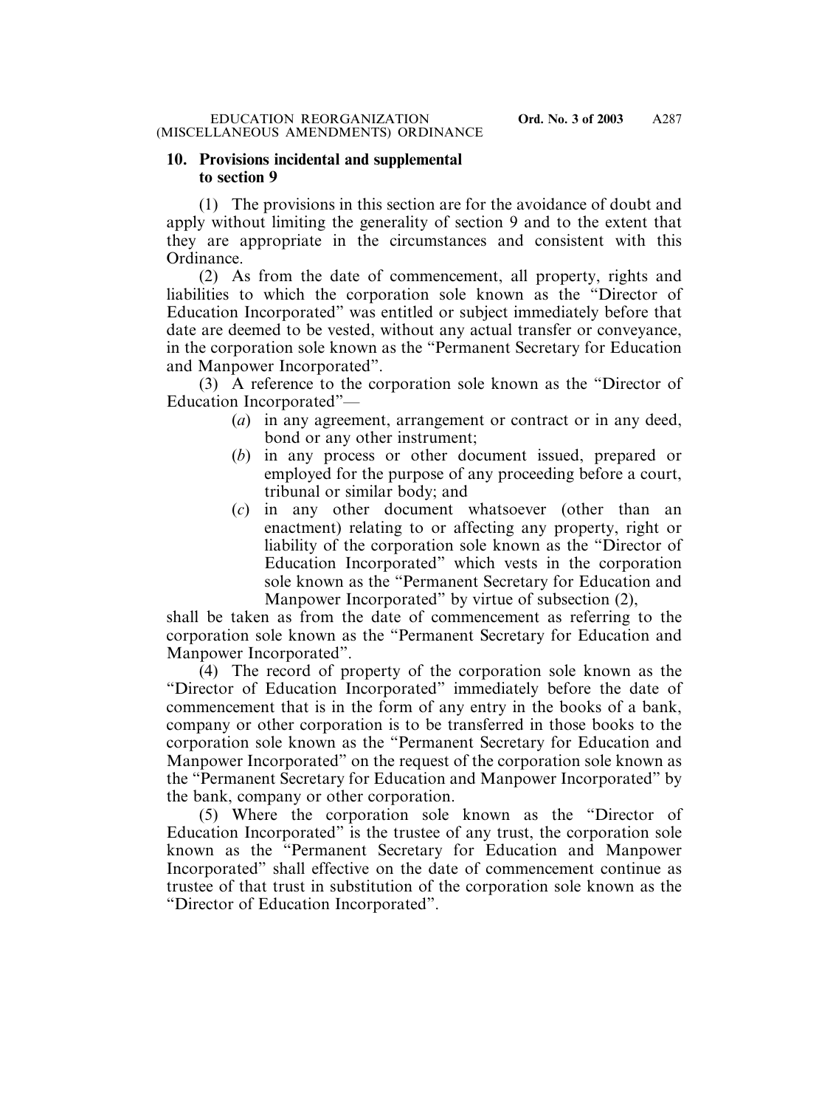## **10. Provisions incidental and supplemental to section 9**

(1) The provisions in this section are for the avoidance of doubt and apply without limiting the generality of section 9 and to the extent that they are appropriate in the circumstances and consistent with this Ordinance.

(2) As from the date of commencement, all property, rights and liabilities to which the corporation sole known as the "Director of Education Incorporated" was entitled or subject immediately before that date are deemed to be vested, without any actual transfer or conveyance, in the corporation sole known as the "Permanent Secretary for Education and Manpower Incorporated".

(3) A reference to the corporation sole known as the "Director of Education Incorporated"—

- (*a*) in any agreement, arrangement or contract or in any deed, bond or any other instrument;
- (*b*) in any process or other document issued, prepared or employed for the purpose of any proceeding before a court, tribunal or similar body; and
- (*c*) in any other document whatsoever (other than an enactment) relating to or affecting any property, right or liability of the corporation sole known as the "Director of Education Incorporated" which vests in the corporation sole known as the "Permanent Secretary for Education and Manpower Incorporated" by virtue of subsection (2),

shall be taken as from the date of commencement as referring to the corporation sole known as the "Permanent Secretary for Education and Manpower Incorporated".

(4) The record of property of the corporation sole known as the "Director of Education Incorporated" immediately before the date of commencement that is in the form of any entry in the books of a bank, company or other corporation is to be transferred in those books to the corporation sole known as the "Permanent Secretary for Education and Manpower Incorporated" on the request of the corporation sole known as the "Permanent Secretary for Education and Manpower Incorporated" by the bank, company or other corporation.

(5) Where the corporation sole known as the "Director of Education Incorporated" is the trustee of any trust, the corporation sole known as the "Permanent Secretary for Education and Manpower Incorporated" shall effective on the date of commencement continue as trustee of that trust in substitution of the corporation sole known as the "Director of Education Incorporated".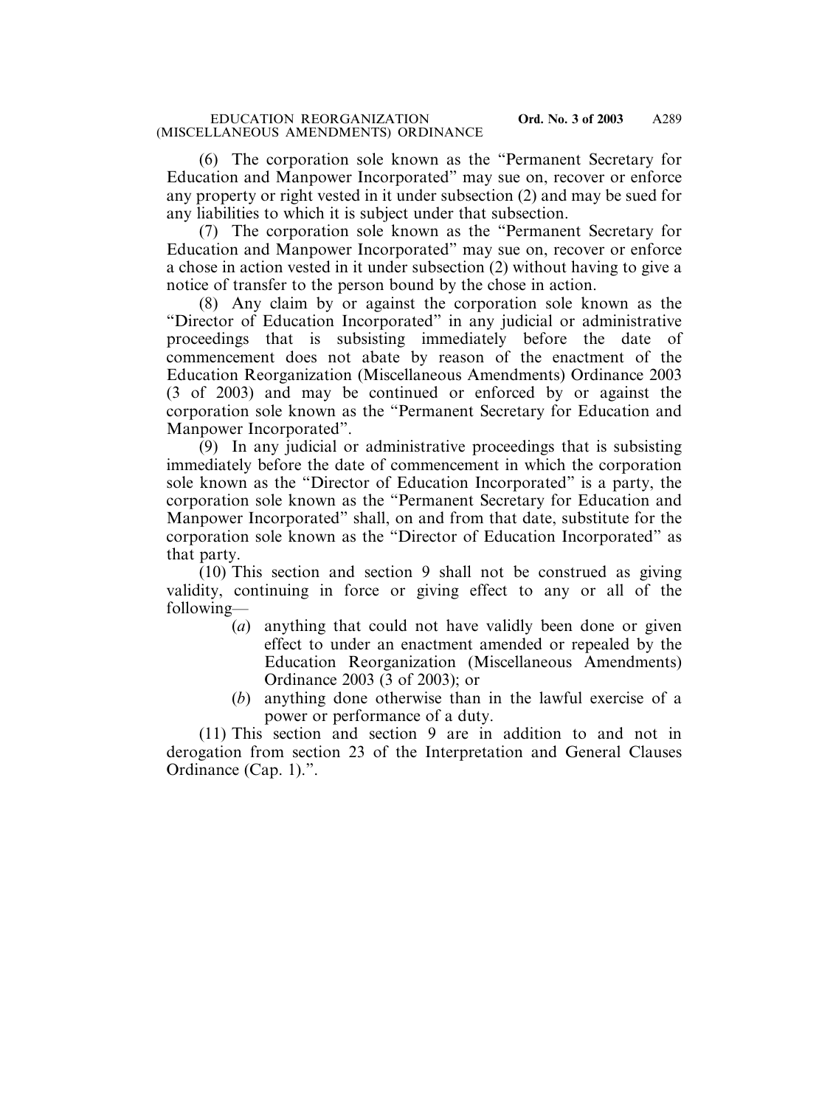(6) The corporation sole known as the "Permanent Secretary for Education and Manpower Incorporated" may sue on, recover or enforce any property or right vested in it under subsection (2) and may be sued for any liabilities to which it is subject under that subsection.

(7) The corporation sole known as the "Permanent Secretary for Education and Manpower Incorporated" may sue on, recover or enforce a chose in action vested in it under subsection (2) without having to give a notice of transfer to the person bound by the chose in action.

(8) Any claim by or against the corporation sole known as the "Director of Education Incorporated" in any judicial or administrative proceedings that is subsisting immediately before the date of commencement does not abate by reason of the enactment of the Education Reorganization (Miscellaneous Amendments) Ordinance 2003 (3 of 2003) and may be continued or enforced by or against the corporation sole known as the "Permanent Secretary for Education and Manpower Incorporated".

(9) In any judicial or administrative proceedings that is subsisting immediately before the date of commencement in which the corporation sole known as the "Director of Education Incorporated" is a party, the corporation sole known as the "Permanent Secretary for Education and Manpower Incorporated" shall, on and from that date, substitute for the corporation sole known as the "Director of Education Incorporated" as that party.

(10) This section and section 9 shall not be construed as giving validity, continuing in force or giving effect to any or all of the following—

- (*a*) anything that could not have validly been done or given effect to under an enactment amended or repealed by the Education Reorganization (Miscellaneous Amendments) Ordinance 2003 (3 of 2003); or
- (*b*) anything done otherwise than in the lawful exercise of a power or performance of a duty.

(11) This section and section 9 are in addition to and not in derogation from section 23 of the Interpretation and General Clauses Ordinance (Cap. 1).".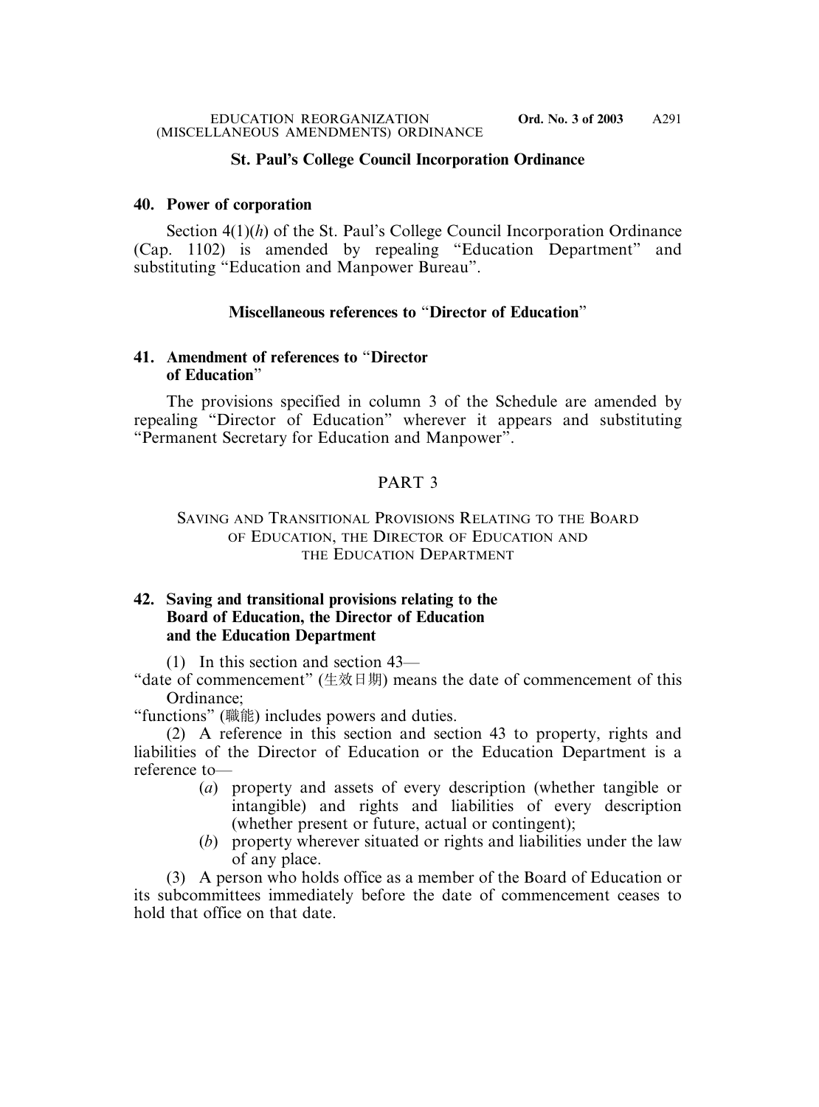# **St. Paul's College Council Incorporation Ordinance**

### **40. Power of corporation**

Section 4(1)(*h*) of the St. Paul's College Council Incorporation Ordinance (Cap. 1102) is amended by repealing "Education Department" and substituting "Education and Manpower Bureau".

## **Miscellaneous references to** "**Director of Education**"

### **41. Amendment of references to** "**Director of Education**"

The provisions specified in column 3 of the Schedule are amended by repealing "Director of Education" wherever it appears and substituting "Permanent Secretary for Education and Manpower".

# PART 3

### SAVING AND TRANSITIONAL PROVISIONS RELATING TO THE BOARD OF EDUCATION, THE DIRECTOR OF EDUCATION AND THE EDUCATION DEPARTMENT

## **42. Saving and transitional provisions relating to the Board of Education, the Director of Education and the Education Department**

(1) In this section and section 43—

"date of commencement" (生效日期) means the date of commencement of this Ordinance;

"functions" (職能) includes powers and duties.

(2) A reference in this section and section 43 to property, rights and liabilities of the Director of Education or the Education Department is a reference to—

- (*a*) property and assets of every description (whether tangible or intangible) and rights and liabilities of every description (whether present or future, actual or contingent);
- (*b*) property wherever situated or rights and liabilities under the law of any place.

(3) A person who holds office as a member of the Board of Education or its subcommittees immediately before the date of commencement ceases to hold that office on that date.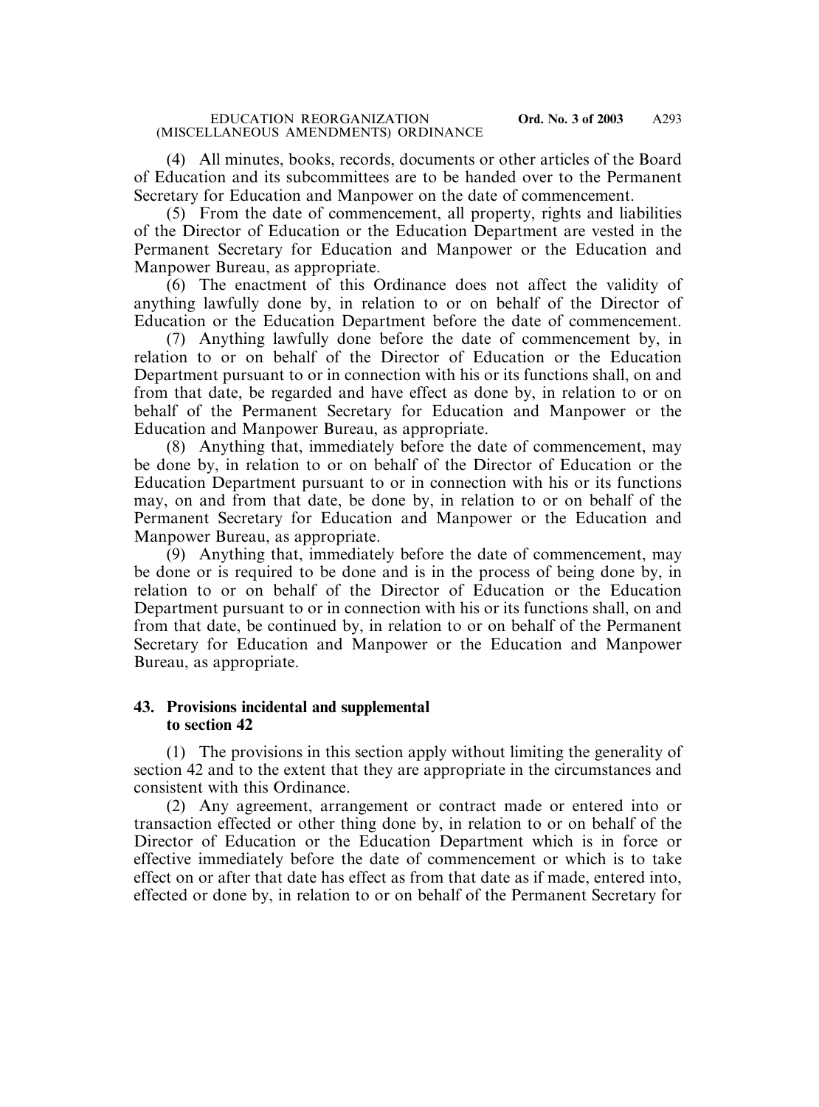(4) All minutes, books, records, documents or other articles of the Board of Education and its subcommittees are to be handed over to the Permanent Secretary for Education and Manpower on the date of commencement.

(5) From the date of commencement, all property, rights and liabilities of the Director of Education or the Education Department are vested in the Permanent Secretary for Education and Manpower or the Education and Manpower Bureau, as appropriate.

(6) The enactment of this Ordinance does not affect the validity of anything lawfully done by, in relation to or on behalf of the Director of Education or the Education Department before the date of commencement.

(7) Anything lawfully done before the date of commencement by, in relation to or on behalf of the Director of Education or the Education Department pursuant to or in connection with his or its functions shall, on and from that date, be regarded and have effect as done by, in relation to or on behalf of the Permanent Secretary for Education and Manpower or the Education and Manpower Bureau, as appropriate.

(8) Anything that, immediately before the date of commencement, may be done by, in relation to or on behalf of the Director of Education or the Education Department pursuant to or in connection with his or its functions may, on and from that date, be done by, in relation to or on behalf of the Permanent Secretary for Education and Manpower or the Education and Manpower Bureau, as appropriate.

(9) Anything that, immediately before the date of commencement, may be done or is required to be done and is in the process of being done by, in relation to or on behalf of the Director of Education or the Education Department pursuant to or in connection with his or its functions shall, on and from that date, be continued by, in relation to or on behalf of the Permanent Secretary for Education and Manpower or the Education and Manpower Bureau, as appropriate.

### **43. Provisions incidental and supplemental to section 42**

(1) The provisions in this section apply without limiting the generality of section 42 and to the extent that they are appropriate in the circumstances and consistent with this Ordinance.

(2) Any agreement, arrangement or contract made or entered into or transaction effected or other thing done by, in relation to or on behalf of the Director of Education or the Education Department which is in force or effective immediately before the date of commencement or which is to take effect on or after that date has effect as from that date as if made, entered into, effected or done by, in relation to or on behalf of the Permanent Secretary for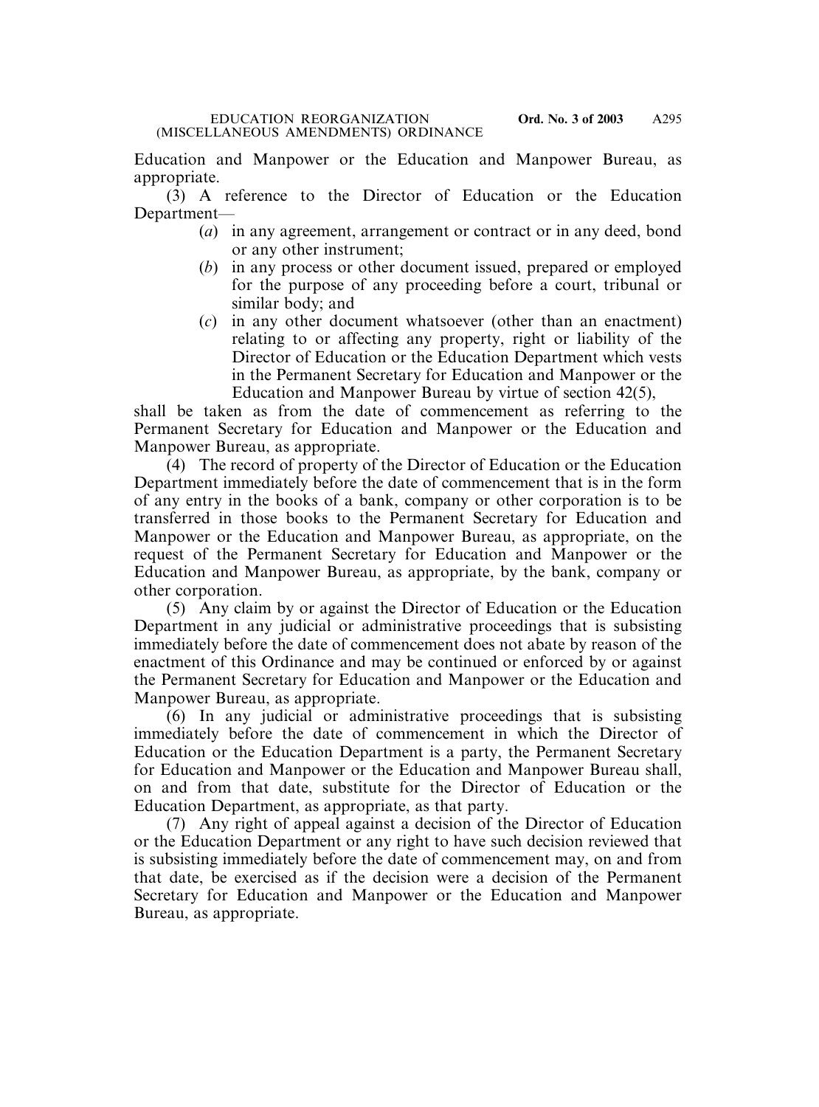Education and Manpower or the Education and Manpower Bureau, as appropriate.

(3) A reference to the Director of Education or the Education Department—

- (*a*) in any agreement, arrangement or contract or in any deed, bond or any other instrument;
- (*b*) in any process or other document issued, prepared or employed for the purpose of any proceeding before a court, tribunal or similar body; and
- (*c*) in any other document whatsoever (other than an enactment) relating to or affecting any property, right or liability of the Director of Education or the Education Department which vests in the Permanent Secretary for Education and Manpower or the Education and Manpower Bureau by virtue of section 42(5),

shall be taken as from the date of commencement as referring to the Permanent Secretary for Education and Manpower or the Education and Manpower Bureau, as appropriate.

(4) The record of property of the Director of Education or the Education Department immediately before the date of commencement that is in the form of any entry in the books of a bank, company or other corporation is to be transferred in those books to the Permanent Secretary for Education and Manpower or the Education and Manpower Bureau, as appropriate, on the request of the Permanent Secretary for Education and Manpower or the Education and Manpower Bureau, as appropriate, by the bank, company or other corporation.

(5) Any claim by or against the Director of Education or the Education Department in any judicial or administrative proceedings that is subsisting immediately before the date of commencement does not abate by reason of the enactment of this Ordinance and may be continued or enforced by or against the Permanent Secretary for Education and Manpower or the Education and Manpower Bureau, as appropriate.

(6) In any judicial or administrative proceedings that is subsisting immediately before the date of commencement in which the Director of Education or the Education Department is a party, the Permanent Secretary for Education and Manpower or the Education and Manpower Bureau shall, on and from that date, substitute for the Director of Education or the Education Department, as appropriate, as that party.

(7) Any right of appeal against a decision of the Director of Education or the Education Department or any right to have such decision reviewed that is subsisting immediately before the date of commencement may, on and from that date, be exercised as if the decision were a decision of the Permanent Secretary for Education and Manpower or the Education and Manpower Bureau, as appropriate.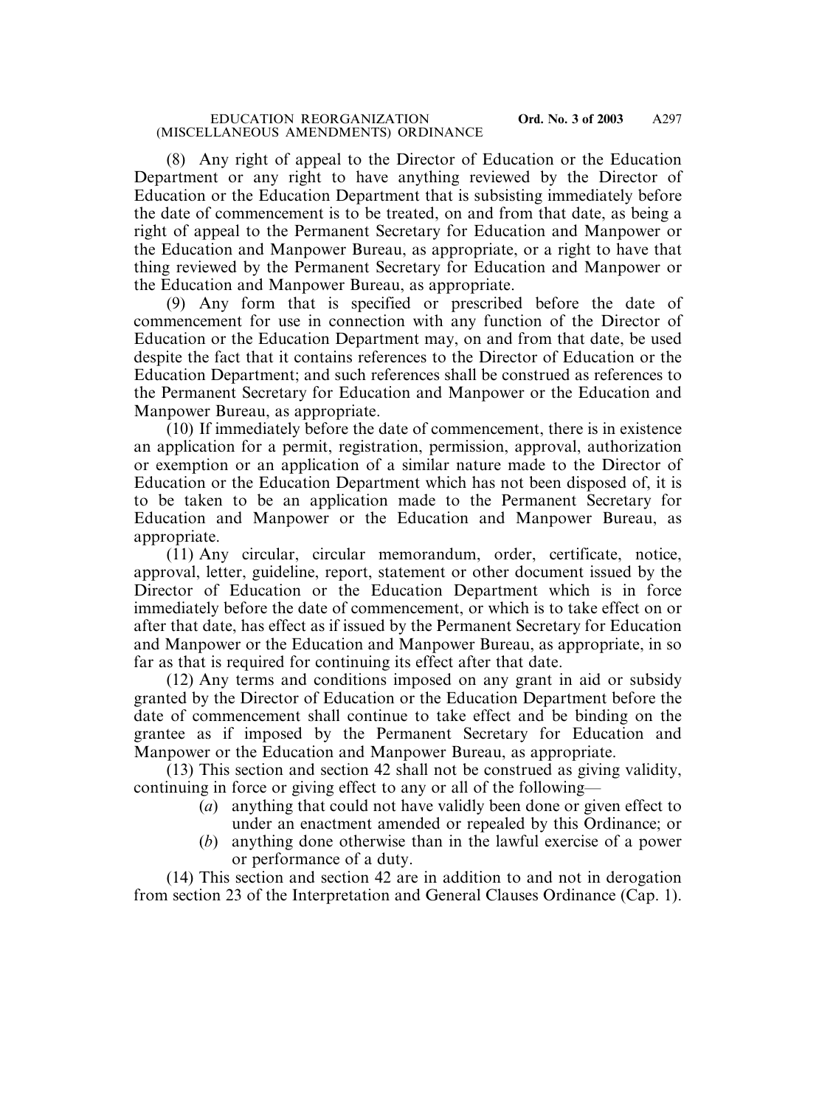#### EDUCATION REORGANIZATION **Ord. No. 3 of 2003** (MISCELLANEOUS AMENDMENTS) ORDINANCE

(8) Any right of appeal to the Director of Education or the Education Department or any right to have anything reviewed by the Director of Education or the Education Department that is subsisting immediately before the date of commencement is to be treated, on and from that date, as being a right of appeal to the Permanent Secretary for Education and Manpower or the Education and Manpower Bureau, as appropriate, or a right to have that thing reviewed by the Permanent Secretary for Education and Manpower or the Education and Manpower Bureau, as appropriate.

(9) Any form that is specified or prescribed before the date of commencement for use in connection with any function of the Director of Education or the Education Department may, on and from that date, be used despite the fact that it contains references to the Director of Education or the Education Department; and such references shall be construed as references to the Permanent Secretary for Education and Manpower or the Education and Manpower Bureau, as appropriate.

(10) If immediately before the date of commencement, there is in existence an application for a permit, registration, permission, approval, authorization or exemption or an application of a similar nature made to the Director of Education or the Education Department which has not been disposed of, it is to be taken to be an application made to the Permanent Secretary for Education and Manpower or the Education and Manpower Bureau, as appropriate.

(11) Any circular, circular memorandum, order, certificate, notice, approval, letter, guideline, report, statement or other document issued by the Director of Education or the Education Department which is in force immediately before the date of commencement, or which is to take effect on or after that date, has effect as if issued by the Permanent Secretary for Education and Manpower or the Education and Manpower Bureau, as appropriate, in so far as that is required for continuing its effect after that date.

(12) Any terms and conditions imposed on any grant in aid or subsidy granted by the Director of Education or the Education Department before the date of commencement shall continue to take effect and be binding on the grantee as if imposed by the Permanent Secretary for Education and Manpower or the Education and Manpower Bureau, as appropriate.

(13) This section and section 42 shall not be construed as giving validity, continuing in force or giving effect to any or all of the following—

- (*a*) anything that could not have validly been done or given effect to under an enactment amended or repealed by this Ordinance; or
- (*b*) anything done otherwise than in the lawful exercise of a power or performance of a duty.

(14) This section and section 42 are in addition to and not in derogation from section 23 of the Interpretation and General Clauses Ordinance (Cap. 1).